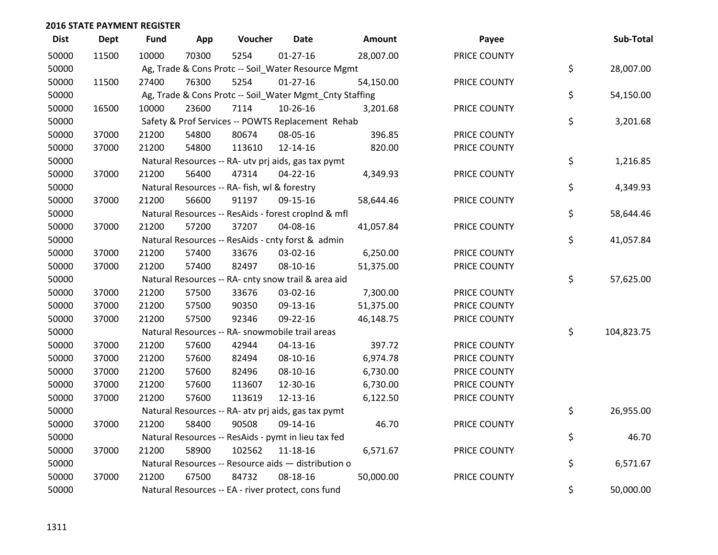| <b>Dist</b> | <b>Dept</b> | <b>Fund</b> | App   | Voucher                                             | <b>Date</b>    | Amount                                                  | Payee        | Sub-Total        |
|-------------|-------------|-------------|-------|-----------------------------------------------------|----------------|---------------------------------------------------------|--------------|------------------|
| 50000       | 11500       | 10000       | 70300 | 5254                                                | $01 - 27 - 16$ | 28,007.00                                               | PRICE COUNTY |                  |
| 50000       |             |             |       | Ag, Trade & Cons Protc -- Soil_Water Resource Mgmt  |                |                                                         |              | \$<br>28,007.00  |
| 50000       | 11500       | 27400       | 76300 | 5254                                                | $01-27-16$     | 54,150.00                                               | PRICE COUNTY |                  |
| 50000       |             |             |       |                                                     |                | Ag, Trade & Cons Protc -- Soil_Water Mgmt_Cnty Staffing |              | \$<br>54,150.00  |
| 50000       | 16500       | 10000       | 23600 | 7114                                                | 10-26-16       | 3,201.68                                                | PRICE COUNTY |                  |
| 50000       |             |             |       | Safety & Prof Services -- POWTS Replacement Rehab   |                |                                                         |              | \$<br>3,201.68   |
| 50000       | 37000       | 21200       | 54800 | 80674                                               | 08-05-16       | 396.85                                                  | PRICE COUNTY |                  |
| 50000       | 37000       | 21200       | 54800 | 113610                                              | $12 - 14 - 16$ | 820.00                                                  | PRICE COUNTY |                  |
| 50000       |             |             |       | Natural Resources -- RA- utv prj aids, gas tax pymt |                |                                                         |              | \$<br>1,216.85   |
| 50000       | 37000       | 21200       | 56400 | 47314                                               | 04-22-16       | 4,349.93                                                | PRICE COUNTY |                  |
| 50000       |             |             |       | Natural Resources -- RA- fish, wl & forestry        |                |                                                         |              | \$<br>4,349.93   |
| 50000       | 37000       | 21200       | 56600 | 91197                                               | 09-15-16       | 58,644.46                                               | PRICE COUNTY |                  |
| 50000       |             |             |       | Natural Resources -- ResAids - forest croplnd & mfl |                |                                                         |              | \$<br>58,644.46  |
| 50000       | 37000       | 21200       | 57200 | 37207                                               | 04-08-16       | 41,057.84                                               | PRICE COUNTY |                  |
| 50000       |             |             |       | Natural Resources -- ResAids - cnty forst & admin   |                |                                                         |              | \$<br>41,057.84  |
| 50000       | 37000       | 21200       | 57400 | 33676                                               | 03-02-16       | 6,250.00                                                | PRICE COUNTY |                  |
| 50000       | 37000       | 21200       | 57400 | 82497                                               | 08-10-16       | 51,375.00                                               | PRICE COUNTY |                  |
| 50000       |             |             |       | Natural Resources -- RA- cnty snow trail & area aid |                |                                                         |              | \$<br>57,625.00  |
| 50000       | 37000       | 21200       | 57500 | 33676                                               | 03-02-16       | 7,300.00                                                | PRICE COUNTY |                  |
| 50000       | 37000       | 21200       | 57500 | 90350                                               | 09-13-16       | 51,375.00                                               | PRICE COUNTY |                  |
| 50000       | 37000       | 21200       | 57500 | 92346                                               | 09-22-16       | 46,148.75                                               | PRICE COUNTY |                  |
| 50000       |             |             |       | Natural Resources -- RA- snowmobile trail areas     |                |                                                         |              | \$<br>104,823.75 |
| 50000       | 37000       | 21200       | 57600 | 42944                                               | $04 - 13 - 16$ | 397.72                                                  | PRICE COUNTY |                  |
| 50000       | 37000       | 21200       | 57600 | 82494                                               | 08-10-16       | 6,974.78                                                | PRICE COUNTY |                  |
| 50000       | 37000       | 21200       | 57600 | 82496                                               | 08-10-16       | 6,730.00                                                | PRICE COUNTY |                  |
| 50000       | 37000       | 21200       | 57600 | 113607                                              | 12-30-16       | 6,730.00                                                | PRICE COUNTY |                  |
| 50000       | 37000       | 21200       | 57600 | 113619                                              | 12-13-16       | 6,122.50                                                | PRICE COUNTY |                  |
| 50000       |             |             |       | Natural Resources -- RA- atv prj aids, gas tax pymt |                |                                                         |              | \$<br>26,955.00  |
| 50000       | 37000       | 21200       | 58400 | 90508                                               | 09-14-16       | 46.70                                                   | PRICE COUNTY |                  |
| 50000       |             |             |       | Natural Resources -- ResAids - pymt in lieu tax fed |                |                                                         |              | \$<br>46.70      |
| 50000       | 37000       | 21200       | 58900 | 102562                                              | 11-18-16       | 6,571.67                                                | PRICE COUNTY |                  |
| 50000       |             |             |       | Natural Resources -- Resource aids - distribution o |                |                                                         |              | \$<br>6,571.67   |
| 50000       | 37000       | 21200       | 67500 | 84732                                               | 08-18-16       | 50,000.00                                               | PRICE COUNTY |                  |
| 50000       |             |             |       | Natural Resources -- EA - river protect, cons fund  |                |                                                         |              | \$<br>50,000.00  |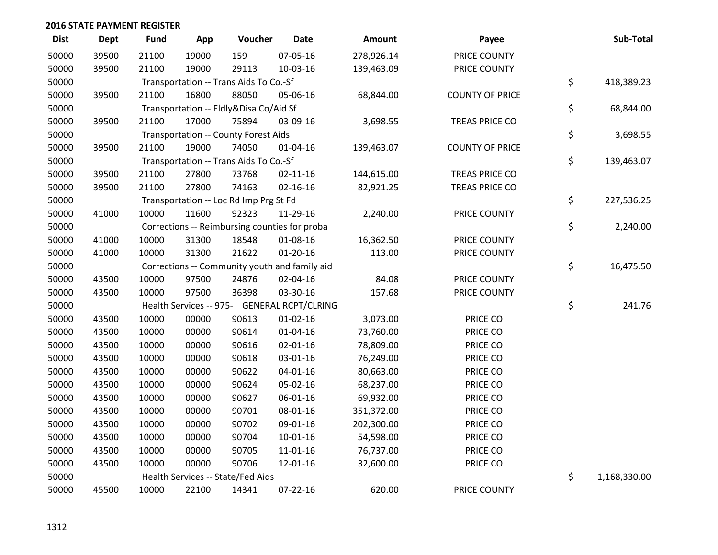| <b>Dist</b> | <b>Dept</b> | <b>Fund</b> | App   | Voucher                                       | <b>Date</b>    | Amount     | Payee                  | Sub-Total          |
|-------------|-------------|-------------|-------|-----------------------------------------------|----------------|------------|------------------------|--------------------|
| 50000       | 39500       | 21100       | 19000 | 159                                           | 07-05-16       | 278,926.14 | PRICE COUNTY           |                    |
| 50000       | 39500       | 21100       | 19000 | 29113                                         | 10-03-16       | 139,463.09 | PRICE COUNTY           |                    |
| 50000       |             |             |       | Transportation -- Trans Aids To Co.-Sf        |                |            |                        | \$<br>418,389.23   |
| 50000       | 39500       | 21100       | 16800 | 88050                                         | 05-06-16       | 68,844.00  | <b>COUNTY OF PRICE</b> |                    |
| 50000       |             |             |       | Transportation -- Eldly&Disa Co/Aid Sf        |                |            |                        | \$<br>68,844.00    |
| 50000       | 39500       | 21100       | 17000 | 75894                                         | 03-09-16       | 3,698.55   | TREAS PRICE CO         |                    |
| 50000       |             |             |       | <b>Transportation -- County Forest Aids</b>   |                |            |                        | \$<br>3,698.55     |
| 50000       | 39500       | 21100       | 19000 | 74050                                         | $01 - 04 - 16$ | 139,463.07 | <b>COUNTY OF PRICE</b> |                    |
| 50000       |             |             |       | Transportation -- Trans Aids To Co.-Sf        |                |            |                        | \$<br>139,463.07   |
| 50000       | 39500       | 21100       | 27800 | 73768                                         | $02 - 11 - 16$ | 144,615.00 | TREAS PRICE CO         |                    |
| 50000       | 39500       | 21100       | 27800 | 74163                                         | $02 - 16 - 16$ | 82,921.25  | TREAS PRICE CO         |                    |
| 50000       |             |             |       | Transportation -- Loc Rd Imp Prg St Fd        |                |            |                        | \$<br>227,536.25   |
| 50000       | 41000       | 10000       | 11600 | 92323                                         | 11-29-16       | 2,240.00   | PRICE COUNTY           |                    |
| 50000       |             |             |       | Corrections -- Reimbursing counties for proba |                |            |                        | \$<br>2,240.00     |
| 50000       | 41000       | 10000       | 31300 | 18548                                         | 01-08-16       | 16,362.50  | PRICE COUNTY           |                    |
| 50000       | 41000       | 10000       | 31300 | 21622                                         | $01 - 20 - 16$ | 113.00     | PRICE COUNTY           |                    |
| 50000       |             |             |       | Corrections -- Community youth and family aid |                |            |                        | \$<br>16,475.50    |
| 50000       | 43500       | 10000       | 97500 | 24876                                         | 02-04-16       | 84.08      | PRICE COUNTY           |                    |
| 50000       | 43500       | 10000       | 97500 | 36398                                         | 03-30-16       | 157.68     | PRICE COUNTY           |                    |
| 50000       |             |             |       | Health Services -- 975- GENERAL RCPT/CLRING   |                |            |                        | \$<br>241.76       |
| 50000       | 43500       | 10000       | 00000 | 90613                                         | $01 - 02 - 16$ | 3,073.00   | PRICE CO               |                    |
| 50000       | 43500       | 10000       | 00000 | 90614                                         | $01 - 04 - 16$ | 73,760.00  | PRICE CO               |                    |
| 50000       | 43500       | 10000       | 00000 | 90616                                         | $02 - 01 - 16$ | 78,809.00  | PRICE CO               |                    |
| 50000       | 43500       | 10000       | 00000 | 90618                                         | 03-01-16       | 76,249.00  | PRICE CO               |                    |
| 50000       | 43500       | 10000       | 00000 | 90622                                         | $04 - 01 - 16$ | 80,663.00  | PRICE CO               |                    |
| 50000       | 43500       | 10000       | 00000 | 90624                                         | 05-02-16       | 68,237.00  | PRICE CO               |                    |
| 50000       | 43500       | 10000       | 00000 | 90627                                         | 06-01-16       | 69,932.00  | PRICE CO               |                    |
| 50000       | 43500       | 10000       | 00000 | 90701                                         | 08-01-16       | 351,372.00 | PRICE CO               |                    |
| 50000       | 43500       | 10000       | 00000 | 90702                                         | 09-01-16       | 202,300.00 | PRICE CO               |                    |
| 50000       | 43500       | 10000       | 00000 | 90704                                         | $10 - 01 - 16$ | 54,598.00  | PRICE CO               |                    |
| 50000       | 43500       | 10000       | 00000 | 90705                                         | 11-01-16       | 76,737.00  | PRICE CO               |                    |
| 50000       | 43500       | 10000       | 00000 | 90706                                         | 12-01-16       | 32,600.00  | PRICE CO               |                    |
| 50000       |             |             |       | Health Services -- State/Fed Aids             |                |            |                        | \$<br>1,168,330.00 |
| 50000       | 45500       | 10000       | 22100 | 14341                                         | 07-22-16       | 620.00     | PRICE COUNTY           |                    |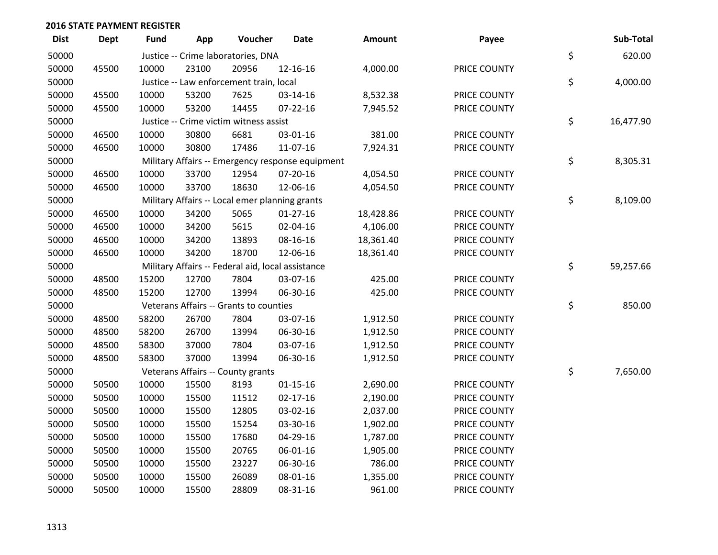| <b>Dist</b> | <b>Dept</b> | <b>Fund</b> | App   | Voucher                                           | <b>Date</b>                                      | Amount    | Payee        | Sub-Total       |
|-------------|-------------|-------------|-------|---------------------------------------------------|--------------------------------------------------|-----------|--------------|-----------------|
| 50000       |             |             |       | Justice -- Crime laboratories, DNA                |                                                  |           |              | \$<br>620.00    |
| 50000       | 45500       | 10000       | 23100 | 20956                                             | 12-16-16                                         | 4,000.00  | PRICE COUNTY |                 |
| 50000       |             |             |       | Justice -- Law enforcement train, local           |                                                  |           |              | \$<br>4,000.00  |
| 50000       | 45500       | 10000       | 53200 | 7625                                              | 03-14-16                                         | 8,532.38  | PRICE COUNTY |                 |
| 50000       | 45500       | 10000       | 53200 | 14455                                             | $07 - 22 - 16$                                   | 7,945.52  | PRICE COUNTY |                 |
| 50000       |             |             |       | Justice -- Crime victim witness assist            |                                                  |           |              | \$<br>16,477.90 |
| 50000       | 46500       | 10000       | 30800 | 6681                                              | 03-01-16                                         | 381.00    | PRICE COUNTY |                 |
| 50000       | 46500       | 10000       | 30800 | 17486                                             | 11-07-16                                         | 7,924.31  | PRICE COUNTY |                 |
| 50000       |             |             |       |                                                   | Military Affairs -- Emergency response equipment |           |              | \$<br>8,305.31  |
| 50000       | 46500       | 10000       | 33700 | 12954                                             | 07-20-16                                         | 4,054.50  | PRICE COUNTY |                 |
| 50000       | 46500       | 10000       | 33700 | 18630                                             | 12-06-16                                         | 4,054.50  | PRICE COUNTY |                 |
| 50000       |             |             |       | Military Affairs -- Local emer planning grants    |                                                  |           |              | \$<br>8,109.00  |
| 50000       | 46500       | 10000       | 34200 | 5065                                              | $01-27-16$                                       | 18,428.86 | PRICE COUNTY |                 |
| 50000       | 46500       | 10000       | 34200 | 5615                                              | 02-04-16                                         | 4,106.00  | PRICE COUNTY |                 |
| 50000       | 46500       | 10000       | 34200 | 13893                                             | 08-16-16                                         | 18,361.40 | PRICE COUNTY |                 |
| 50000       | 46500       | 10000       | 34200 | 18700                                             | 12-06-16                                         | 18,361.40 | PRICE COUNTY |                 |
| 50000       |             |             |       | Military Affairs -- Federal aid, local assistance |                                                  |           |              | \$<br>59,257.66 |
| 50000       | 48500       | 15200       | 12700 | 7804                                              | 03-07-16                                         | 425.00    | PRICE COUNTY |                 |
| 50000       | 48500       | 15200       | 12700 | 13994                                             | 06-30-16                                         | 425.00    | PRICE COUNTY |                 |
| 50000       |             |             |       | Veterans Affairs -- Grants to counties            |                                                  |           |              | \$<br>850.00    |
| 50000       | 48500       | 58200       | 26700 | 7804                                              | 03-07-16                                         | 1,912.50  | PRICE COUNTY |                 |
| 50000       | 48500       | 58200       | 26700 | 13994                                             | 06-30-16                                         | 1,912.50  | PRICE COUNTY |                 |
| 50000       | 48500       | 58300       | 37000 | 7804                                              | 03-07-16                                         | 1,912.50  | PRICE COUNTY |                 |
| 50000       | 48500       | 58300       | 37000 | 13994                                             | 06-30-16                                         | 1,912.50  | PRICE COUNTY |                 |
| 50000       |             |             |       | Veterans Affairs -- County grants                 |                                                  |           |              | \$<br>7,650.00  |
| 50000       | 50500       | 10000       | 15500 | 8193                                              | $01 - 15 - 16$                                   | 2,690.00  | PRICE COUNTY |                 |
| 50000       | 50500       | 10000       | 15500 | 11512                                             | $02 - 17 - 16$                                   | 2,190.00  | PRICE COUNTY |                 |
| 50000       | 50500       | 10000       | 15500 | 12805                                             | 03-02-16                                         | 2,037.00  | PRICE COUNTY |                 |
| 50000       | 50500       | 10000       | 15500 | 15254                                             | 03-30-16                                         | 1,902.00  | PRICE COUNTY |                 |
| 50000       | 50500       | 10000       | 15500 | 17680                                             | 04-29-16                                         | 1,787.00  | PRICE COUNTY |                 |
| 50000       | 50500       | 10000       | 15500 | 20765                                             | 06-01-16                                         | 1,905.00  | PRICE COUNTY |                 |
| 50000       | 50500       | 10000       | 15500 | 23227                                             | 06-30-16                                         | 786.00    | PRICE COUNTY |                 |
| 50000       | 50500       | 10000       | 15500 | 26089                                             | 08-01-16                                         | 1,355.00  | PRICE COUNTY |                 |
| 50000       | 50500       | 10000       | 15500 | 28809                                             | 08-31-16                                         | 961.00    | PRICE COUNTY |                 |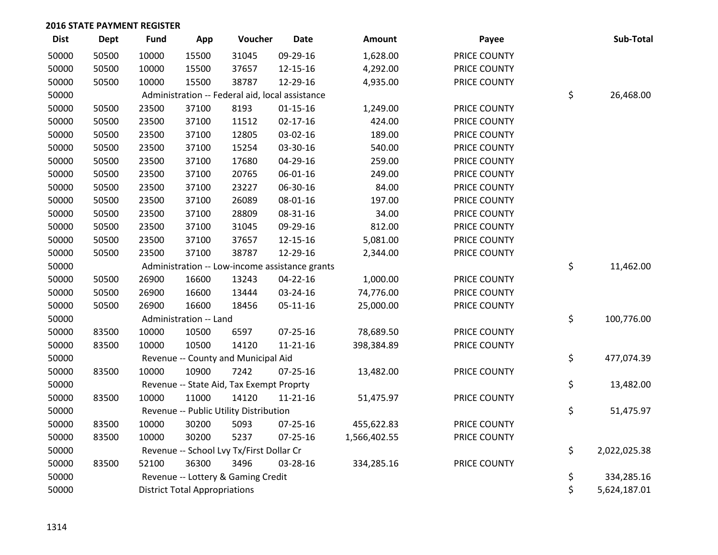| <b>Dist</b> | <b>Dept</b> | <b>Fund</b> | App                                  | Voucher                                         | <b>Date</b>                                    | <b>Amount</b> | Payee        | Sub-Total          |
|-------------|-------------|-------------|--------------------------------------|-------------------------------------------------|------------------------------------------------|---------------|--------------|--------------------|
| 50000       | 50500       | 10000       | 15500                                | 31045                                           | 09-29-16                                       | 1,628.00      | PRICE COUNTY |                    |
| 50000       | 50500       | 10000       | 15500                                | 37657                                           | 12-15-16                                       | 4,292.00      | PRICE COUNTY |                    |
| 50000       | 50500       | 10000       | 15500                                | 38787                                           | 12-29-16                                       | 4,935.00      | PRICE COUNTY |                    |
| 50000       |             |             |                                      | Administration -- Federal aid, local assistance |                                                |               |              | \$<br>26,468.00    |
| 50000       | 50500       | 23500       | 37100                                | 8193                                            | $01 - 15 - 16$                                 | 1,249.00      | PRICE COUNTY |                    |
| 50000       | 50500       | 23500       | 37100                                | 11512                                           | $02 - 17 - 16$                                 | 424.00        | PRICE COUNTY |                    |
| 50000       | 50500       | 23500       | 37100                                | 12805                                           | 03-02-16                                       | 189.00        | PRICE COUNTY |                    |
| 50000       | 50500       | 23500       | 37100                                | 15254                                           | 03-30-16                                       | 540.00        | PRICE COUNTY |                    |
| 50000       | 50500       | 23500       | 37100                                | 17680                                           | 04-29-16                                       | 259.00        | PRICE COUNTY |                    |
| 50000       | 50500       | 23500       | 37100                                | 20765                                           | 06-01-16                                       | 249.00        | PRICE COUNTY |                    |
| 50000       | 50500       | 23500       | 37100                                | 23227                                           | 06-30-16                                       | 84.00         | PRICE COUNTY |                    |
| 50000       | 50500       | 23500       | 37100                                | 26089                                           | 08-01-16                                       | 197.00        | PRICE COUNTY |                    |
| 50000       | 50500       | 23500       | 37100                                | 28809                                           | 08-31-16                                       | 34.00         | PRICE COUNTY |                    |
| 50000       | 50500       | 23500       | 37100                                | 31045                                           | 09-29-16                                       | 812.00        | PRICE COUNTY |                    |
| 50000       | 50500       | 23500       | 37100                                | 37657                                           | 12-15-16                                       | 5,081.00      | PRICE COUNTY |                    |
| 50000       | 50500       | 23500       | 37100                                | 38787                                           | 12-29-16                                       | 2,344.00      | PRICE COUNTY |                    |
| 50000       |             |             |                                      |                                                 | Administration -- Low-income assistance grants |               |              | \$<br>11,462.00    |
| 50000       | 50500       | 26900       | 16600                                | 13243                                           | 04-22-16                                       | 1,000.00      | PRICE COUNTY |                    |
| 50000       | 50500       | 26900       | 16600                                | 13444                                           | 03-24-16                                       | 74,776.00     | PRICE COUNTY |                    |
| 50000       | 50500       | 26900       | 16600                                | 18456                                           | $05 - 11 - 16$                                 | 25,000.00     | PRICE COUNTY |                    |
| 50000       |             |             | Administration -- Land               |                                                 |                                                |               |              | \$<br>100,776.00   |
| 50000       | 83500       | 10000       | 10500                                | 6597                                            | $07 - 25 - 16$                                 | 78,689.50     | PRICE COUNTY |                    |
| 50000       | 83500       | 10000       | 10500                                | 14120                                           | $11 - 21 - 16$                                 | 398,384.89    | PRICE COUNTY |                    |
| 50000       |             |             |                                      | Revenue -- County and Municipal Aid             |                                                |               |              | \$<br>477,074.39   |
| 50000       | 83500       | 10000       | 10900                                | 7242                                            | 07-25-16                                       | 13,482.00     | PRICE COUNTY |                    |
| 50000       |             |             |                                      | Revenue -- State Aid, Tax Exempt Proprty        |                                                |               |              | \$<br>13,482.00    |
| 50000       | 83500       | 10000       | 11000                                | 14120                                           | $11 - 21 - 16$                                 | 51,475.97     | PRICE COUNTY |                    |
| 50000       |             |             |                                      | Revenue -- Public Utility Distribution          |                                                |               |              | \$<br>51,475.97    |
| 50000       | 83500       | 10000       | 30200                                | 5093                                            | 07-25-16                                       | 455,622.83    | PRICE COUNTY |                    |
| 50000       | 83500       | 10000       | 30200                                | 5237                                            | $07 - 25 - 16$                                 | 1,566,402.55  | PRICE COUNTY |                    |
| 50000       |             |             |                                      | Revenue -- School Lvy Tx/First Dollar Cr        |                                                |               |              | \$<br>2,022,025.38 |
| 50000       | 83500       | 52100       | 36300                                | 3496                                            | 03-28-16                                       | 334,285.16    | PRICE COUNTY |                    |
| 50000       |             |             |                                      | Revenue -- Lottery & Gaming Credit              |                                                |               |              | \$<br>334,285.16   |
| 50000       |             |             | <b>District Total Appropriations</b> |                                                 |                                                |               |              | \$<br>5,624,187.01 |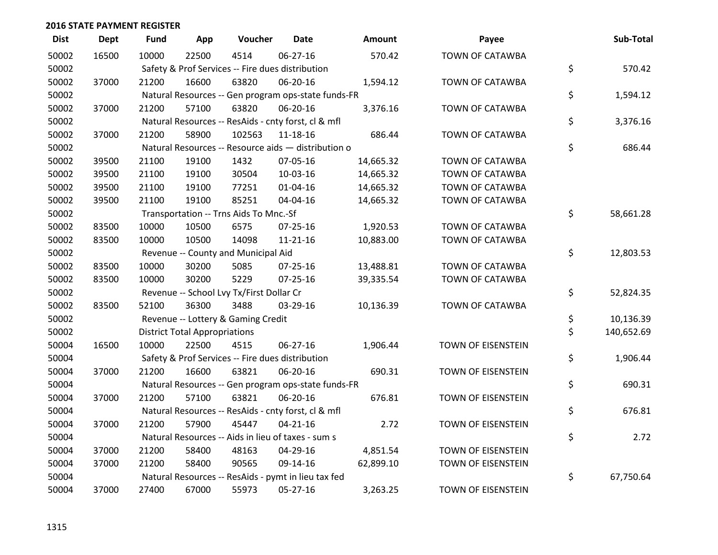| <b>Dist</b> | <b>Dept</b> | <b>Fund</b> | App                                  | Voucher                                          | <b>Date</b>                                         | Amount    | Payee                     | Sub-Total        |
|-------------|-------------|-------------|--------------------------------------|--------------------------------------------------|-----------------------------------------------------|-----------|---------------------------|------------------|
| 50002       | 16500       | 10000       | 22500                                | 4514                                             | 06-27-16                                            | 570.42    | <b>TOWN OF CATAWBA</b>    |                  |
| 50002       |             |             |                                      | Safety & Prof Services -- Fire dues distribution |                                                     |           |                           | \$<br>570.42     |
| 50002       | 37000       | 21200       | 16600                                | 63820                                            | 06-20-16                                            | 1,594.12  | TOWN OF CATAWBA           |                  |
| 50002       |             |             |                                      |                                                  | Natural Resources -- Gen program ops-state funds-FR |           |                           | \$<br>1,594.12   |
| 50002       | 37000       | 21200       | 57100                                | 63820                                            | 06-20-16                                            | 3,376.16  | TOWN OF CATAWBA           |                  |
| 50002       |             |             |                                      |                                                  | Natural Resources -- ResAids - cnty forst, cl & mfl |           |                           | \$<br>3,376.16   |
| 50002       | 37000       | 21200       | 58900                                | 102563                                           | 11-18-16                                            | 686.44    | <b>TOWN OF CATAWBA</b>    |                  |
| 50002       |             |             |                                      |                                                  | Natural Resources -- Resource aids - distribution o |           |                           | \$<br>686.44     |
| 50002       | 39500       | 21100       | 19100                                | 1432                                             | 07-05-16                                            | 14,665.32 | TOWN OF CATAWBA           |                  |
| 50002       | 39500       | 21100       | 19100                                | 30504                                            | 10-03-16                                            | 14,665.32 | TOWN OF CATAWBA           |                  |
| 50002       | 39500       | 21100       | 19100                                | 77251                                            | 01-04-16                                            | 14,665.32 | <b>TOWN OF CATAWBA</b>    |                  |
| 50002       | 39500       | 21100       | 19100                                | 85251                                            | 04-04-16                                            | 14,665.32 | TOWN OF CATAWBA           |                  |
| 50002       |             |             |                                      | Transportation -- Trns Aids To Mnc.-Sf           |                                                     |           |                           | \$<br>58,661.28  |
| 50002       | 83500       | 10000       | 10500                                | 6575                                             | $07 - 25 - 16$                                      | 1,920.53  | TOWN OF CATAWBA           |                  |
| 50002       | 83500       | 10000       | 10500                                | 14098                                            | $11 - 21 - 16$                                      | 10,883.00 | TOWN OF CATAWBA           |                  |
| 50002       |             |             |                                      | Revenue -- County and Municipal Aid              |                                                     |           |                           | \$<br>12,803.53  |
| 50002       | 83500       | 10000       | 30200                                | 5085                                             | $07 - 25 - 16$                                      | 13,488.81 | TOWN OF CATAWBA           |                  |
| 50002       | 83500       | 10000       | 30200                                | 5229                                             | $07 - 25 - 16$                                      | 39,335.54 | TOWN OF CATAWBA           |                  |
| 50002       |             |             |                                      | Revenue -- School Lvy Tx/First Dollar Cr         |                                                     |           |                           | \$<br>52,824.35  |
| 50002       | 83500       | 52100       | 36300                                | 3488                                             | 03-29-16                                            | 10,136.39 | TOWN OF CATAWBA           |                  |
| 50002       |             |             |                                      | Revenue -- Lottery & Gaming Credit               |                                                     |           |                           | \$<br>10,136.39  |
| 50002       |             |             | <b>District Total Appropriations</b> |                                                  |                                                     |           |                           | \$<br>140,652.69 |
| 50004       | 16500       | 10000       | 22500                                | 4515                                             | 06-27-16                                            | 1,906.44  | <b>TOWN OF EISENSTEIN</b> |                  |
| 50004       |             |             |                                      | Safety & Prof Services -- Fire dues distribution |                                                     |           |                           | \$<br>1,906.44   |
| 50004       | 37000       | 21200       | 16600                                | 63821                                            | 06-20-16                                            | 690.31    | TOWN OF EISENSTEIN        |                  |
| 50004       |             |             |                                      |                                                  | Natural Resources -- Gen program ops-state funds-FR |           |                           | \$<br>690.31     |
| 50004       | 37000       | 21200       | 57100                                | 63821                                            | 06-20-16                                            | 676.81    | TOWN OF EISENSTEIN        |                  |
| 50004       |             |             |                                      |                                                  | Natural Resources -- ResAids - cnty forst, cl & mfl |           |                           | \$<br>676.81     |
| 50004       | 37000       | 21200       | 57900                                | 45447                                            | $04 - 21 - 16$                                      | 2.72      | TOWN OF EISENSTEIN        |                  |
| 50004       |             |             |                                      |                                                  | Natural Resources -- Aids in lieu of taxes - sum s  |           |                           | \$<br>2.72       |
| 50004       | 37000       | 21200       | 58400                                | 48163                                            | 04-29-16                                            | 4,851.54  | TOWN OF EISENSTEIN        |                  |
| 50004       | 37000       | 21200       | 58400                                | 90565                                            | 09-14-16                                            | 62,899.10 | TOWN OF EISENSTEIN        |                  |
| 50004       |             |             |                                      |                                                  | Natural Resources -- ResAids - pymt in lieu tax fed |           |                           | \$<br>67,750.64  |
| 50004       | 37000       | 27400       | 67000                                | 55973                                            | 05-27-16                                            | 3,263.25  | TOWN OF EISENSTEIN        |                  |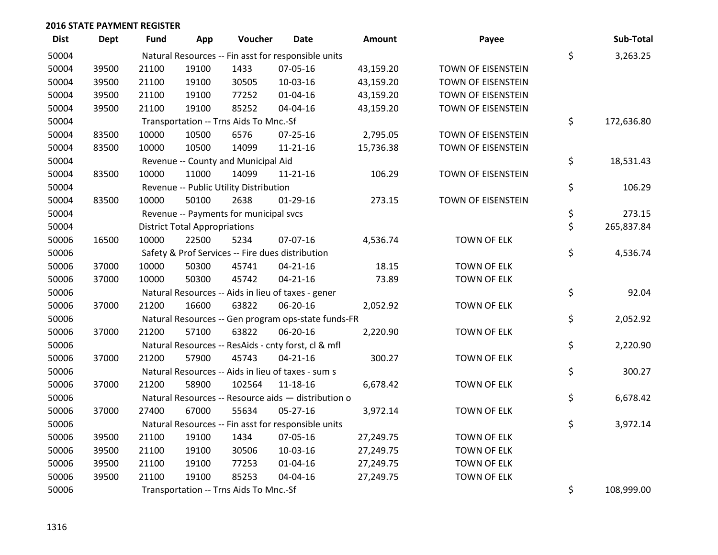| <b>Dist</b> | <b>Dept</b> | <b>Fund</b> | App                                  | Voucher                                | Date                                                | <b>Amount</b> | Payee              | Sub-Total        |
|-------------|-------------|-------------|--------------------------------------|----------------------------------------|-----------------------------------------------------|---------------|--------------------|------------------|
| 50004       |             |             |                                      |                                        | Natural Resources -- Fin asst for responsible units |               |                    | \$<br>3,263.25   |
| 50004       | 39500       | 21100       | 19100                                | 1433                                   | 07-05-16                                            | 43,159.20     | TOWN OF EISENSTEIN |                  |
| 50004       | 39500       | 21100       | 19100                                | 30505                                  | 10-03-16                                            | 43,159.20     | TOWN OF EISENSTEIN |                  |
| 50004       | 39500       | 21100       | 19100                                | 77252                                  | 01-04-16                                            | 43,159.20     | TOWN OF EISENSTEIN |                  |
| 50004       | 39500       | 21100       | 19100                                | 85252                                  | 04-04-16                                            | 43,159.20     | TOWN OF EISENSTEIN |                  |
| 50004       |             |             |                                      | Transportation -- Trns Aids To Mnc.-Sf |                                                     |               |                    | \$<br>172,636.80 |
| 50004       | 83500       | 10000       | 10500                                | 6576                                   | $07 - 25 - 16$                                      | 2,795.05      | TOWN OF EISENSTEIN |                  |
| 50004       | 83500       | 10000       | 10500                                | 14099                                  | 11-21-16                                            | 15,736.38     | TOWN OF EISENSTEIN |                  |
| 50004       |             |             |                                      | Revenue -- County and Municipal Aid    |                                                     |               |                    | \$<br>18,531.43  |
| 50004       | 83500       | 10000       | 11000                                | 14099                                  | 11-21-16                                            | 106.29        | TOWN OF EISENSTEIN |                  |
| 50004       |             |             |                                      | Revenue -- Public Utility Distribution |                                                     |               |                    | \$<br>106.29     |
| 50004       | 83500       | 10000       | 50100                                | 2638                                   | $01-29-16$                                          | 273.15        | TOWN OF EISENSTEIN |                  |
| 50004       |             |             |                                      | Revenue -- Payments for municipal svcs |                                                     |               |                    | \$<br>273.15     |
| 50004       |             |             | <b>District Total Appropriations</b> |                                        |                                                     |               |                    | \$<br>265,837.84 |
| 50006       | 16500       | 10000       | 22500                                | 5234                                   | 07-07-16                                            | 4,536.74      | <b>TOWN OF ELK</b> |                  |
| 50006       |             |             |                                      |                                        | Safety & Prof Services -- Fire dues distribution    |               |                    | \$<br>4,536.74   |
| 50006       | 37000       | 10000       | 50300                                | 45741                                  | $04 - 21 - 16$                                      | 18.15         | <b>TOWN OF ELK</b> |                  |
| 50006       | 37000       | 10000       | 50300                                | 45742                                  | $04 - 21 - 16$                                      | 73.89         | <b>TOWN OF ELK</b> |                  |
| 50006       |             |             |                                      |                                        | Natural Resources -- Aids in lieu of taxes - gener  |               |                    | \$<br>92.04      |
| 50006       | 37000       | 21200       | 16600                                | 63822                                  | 06-20-16                                            | 2,052.92      | <b>TOWN OF ELK</b> |                  |
| 50006       |             |             |                                      |                                        | Natural Resources -- Gen program ops-state funds-FR |               |                    | \$<br>2,052.92   |
| 50006       | 37000       | 21200       | 57100                                | 63822                                  | 06-20-16                                            | 2,220.90      | <b>TOWN OF ELK</b> |                  |
| 50006       |             |             |                                      |                                        | Natural Resources -- ResAids - cnty forst, cl & mfl |               |                    | \$<br>2,220.90   |
| 50006       | 37000       | 21200       | 57900                                | 45743                                  | $04 - 21 - 16$                                      | 300.27        | <b>TOWN OF ELK</b> |                  |
| 50006       |             |             |                                      |                                        | Natural Resources -- Aids in lieu of taxes - sum s  |               |                    | \$<br>300.27     |
| 50006       | 37000       | 21200       | 58900                                | 102564                                 | 11-18-16                                            | 6,678.42      | <b>TOWN OF ELK</b> |                  |
| 50006       |             |             |                                      |                                        | Natural Resources -- Resource aids - distribution o |               |                    | \$<br>6,678.42   |
| 50006       | 37000       | 27400       | 67000                                | 55634                                  | $05 - 27 - 16$                                      | 3,972.14      | <b>TOWN OF ELK</b> |                  |
| 50006       |             |             |                                      |                                        | Natural Resources -- Fin asst for responsible units |               |                    | \$<br>3,972.14   |
| 50006       | 39500       | 21100       | 19100                                | 1434                                   | 07-05-16                                            | 27,249.75     | <b>TOWN OF ELK</b> |                  |
| 50006       | 39500       | 21100       | 19100                                | 30506                                  | 10-03-16                                            | 27,249.75     | <b>TOWN OF ELK</b> |                  |
| 50006       | 39500       | 21100       | 19100                                | 77253                                  | $01 - 04 - 16$                                      | 27,249.75     | <b>TOWN OF ELK</b> |                  |
| 50006       | 39500       | 21100       | 19100                                | 85253                                  | 04-04-16                                            | 27,249.75     | <b>TOWN OF ELK</b> |                  |
| 50006       |             |             |                                      | Transportation -- Trns Aids To Mnc.-Sf |                                                     |               |                    | \$<br>108,999.00 |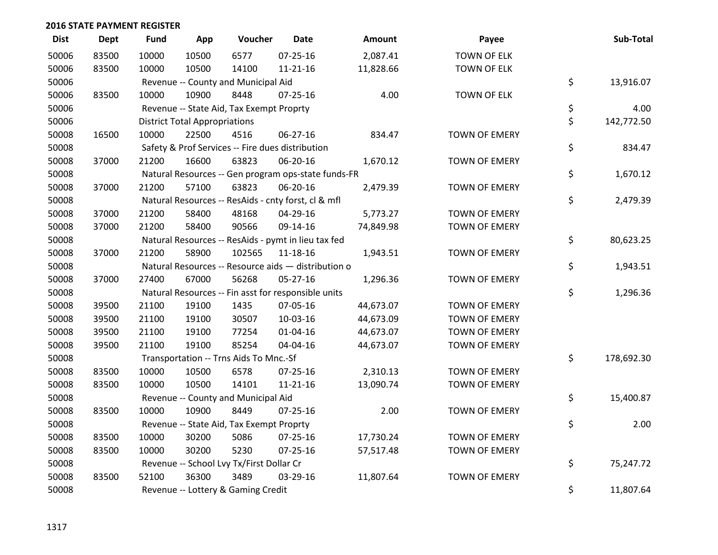| <b>Dist</b> | <b>Dept</b> | <b>Fund</b> | App                                  | Voucher                                          | Date                                                | Amount    | Payee                | Sub-Total        |
|-------------|-------------|-------------|--------------------------------------|--------------------------------------------------|-----------------------------------------------------|-----------|----------------------|------------------|
| 50006       | 83500       | 10000       | 10500                                | 6577                                             | $07 - 25 - 16$                                      | 2,087.41  | <b>TOWN OF ELK</b>   |                  |
| 50006       | 83500       | 10000       | 10500                                | 14100                                            | $11 - 21 - 16$                                      | 11,828.66 | <b>TOWN OF ELK</b>   |                  |
| 50006       |             |             |                                      | Revenue -- County and Municipal Aid              |                                                     |           |                      | \$<br>13,916.07  |
| 50006       | 83500       | 10000       | 10900                                | 8448                                             | $07 - 25 - 16$                                      | 4.00      | <b>TOWN OF ELK</b>   |                  |
| 50006       |             |             |                                      | Revenue -- State Aid, Tax Exempt Proprty         |                                                     |           |                      | \$<br>4.00       |
| 50006       |             |             | <b>District Total Appropriations</b> |                                                  |                                                     |           |                      | \$<br>142,772.50 |
| 50008       | 16500       | 10000       | 22500                                | 4516                                             | 06-27-16                                            | 834.47    | <b>TOWN OF EMERY</b> |                  |
| 50008       |             |             |                                      | Safety & Prof Services -- Fire dues distribution |                                                     |           |                      | \$<br>834.47     |
| 50008       | 37000       | 21200       | 16600                                | 63823                                            | 06-20-16                                            | 1,670.12  | <b>TOWN OF EMERY</b> |                  |
| 50008       |             |             |                                      |                                                  | Natural Resources -- Gen program ops-state funds-FR |           |                      | \$<br>1,670.12   |
| 50008       | 37000       | 21200       | 57100                                | 63823                                            | 06-20-16                                            | 2,479.39  | <b>TOWN OF EMERY</b> |                  |
| 50008       |             |             |                                      |                                                  | Natural Resources -- ResAids - cnty forst, cl & mfl |           |                      | \$<br>2,479.39   |
| 50008       | 37000       | 21200       | 58400                                | 48168                                            | 04-29-16                                            | 5,773.27  | <b>TOWN OF EMERY</b> |                  |
| 50008       | 37000       | 21200       | 58400                                | 90566                                            | 09-14-16                                            | 74,849.98 | TOWN OF EMERY        |                  |
| 50008       |             |             |                                      |                                                  | Natural Resources -- ResAids - pymt in lieu tax fed |           |                      | \$<br>80,623.25  |
| 50008       | 37000       | 21200       | 58900                                | 102565                                           | 11-18-16                                            | 1,943.51  | <b>TOWN OF EMERY</b> |                  |
| 50008       |             |             |                                      |                                                  | Natural Resources -- Resource aids - distribution o |           |                      | \$<br>1,943.51   |
| 50008       | 37000       | 27400       | 67000                                | 56268                                            | 05-27-16                                            | 1,296.36  | <b>TOWN OF EMERY</b> |                  |
| 50008       |             |             |                                      |                                                  | Natural Resources -- Fin asst for responsible units |           |                      | \$<br>1,296.36   |
| 50008       | 39500       | 21100       | 19100                                | 1435                                             | 07-05-16                                            | 44,673.07 | <b>TOWN OF EMERY</b> |                  |
| 50008       | 39500       | 21100       | 19100                                | 30507                                            | 10-03-16                                            | 44,673.09 | <b>TOWN OF EMERY</b> |                  |
| 50008       | 39500       | 21100       | 19100                                | 77254                                            | $01 - 04 - 16$                                      | 44,673.07 | <b>TOWN OF EMERY</b> |                  |
| 50008       | 39500       | 21100       | 19100                                | 85254                                            | 04-04-16                                            | 44,673.07 | TOWN OF EMERY        |                  |
| 50008       |             |             |                                      | Transportation -- Trns Aids To Mnc.-Sf           |                                                     |           |                      | \$<br>178,692.30 |
| 50008       | 83500       | 10000       | 10500                                | 6578                                             | $07 - 25 - 16$                                      | 2,310.13  | <b>TOWN OF EMERY</b> |                  |
| 50008       | 83500       | 10000       | 10500                                | 14101                                            | $11 - 21 - 16$                                      | 13,090.74 | TOWN OF EMERY        |                  |
| 50008       |             |             |                                      | Revenue -- County and Municipal Aid              |                                                     |           |                      | \$<br>15,400.87  |
| 50008       | 83500       | 10000       | 10900                                | 8449                                             | 07-25-16                                            | 2.00      | <b>TOWN OF EMERY</b> |                  |
| 50008       |             |             |                                      | Revenue -- State Aid, Tax Exempt Proprty         |                                                     |           |                      | \$<br>2.00       |
| 50008       | 83500       | 10000       | 30200                                | 5086                                             | $07 - 25 - 16$                                      | 17,730.24 | <b>TOWN OF EMERY</b> |                  |
| 50008       | 83500       | 10000       | 30200                                | 5230                                             | $07 - 25 - 16$                                      | 57,517.48 | TOWN OF EMERY        |                  |
| 50008       |             |             |                                      | Revenue -- School Lvy Tx/First Dollar Cr         |                                                     |           |                      | \$<br>75,247.72  |
| 50008       | 83500       | 52100       | 36300                                | 3489                                             | 03-29-16                                            | 11,807.64 | <b>TOWN OF EMERY</b> |                  |
| 50008       |             |             |                                      | Revenue -- Lottery & Gaming Credit               |                                                     |           |                      | \$<br>11,807.64  |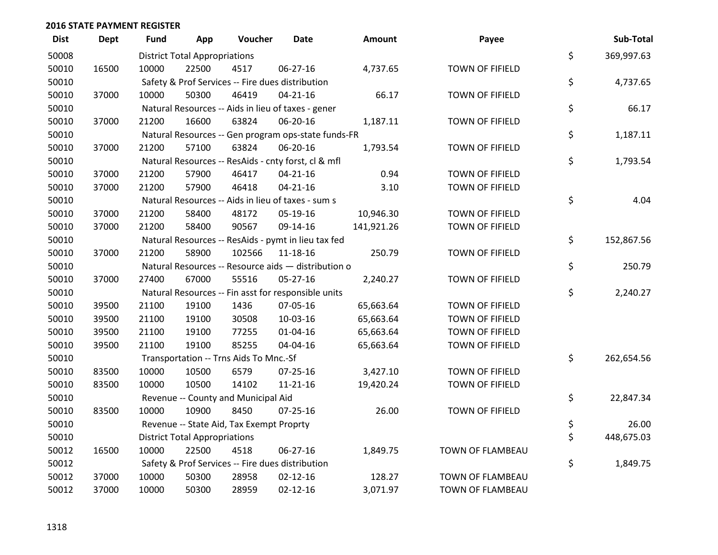| <b>Dist</b> | <b>Dept</b> | <b>Fund</b> | App                                  | Voucher                                             | <b>Date</b>    | Amount     | Payee                  | Sub-Total        |
|-------------|-------------|-------------|--------------------------------------|-----------------------------------------------------|----------------|------------|------------------------|------------------|
| 50008       |             |             | <b>District Total Appropriations</b> |                                                     |                |            |                        | \$<br>369,997.63 |
| 50010       | 16500       | 10000       | 22500                                | 4517                                                | 06-27-16       | 4,737.65   | TOWN OF FIFIELD        |                  |
| 50010       |             |             |                                      | Safety & Prof Services -- Fire dues distribution    |                |            |                        | \$<br>4,737.65   |
| 50010       | 37000       | 10000       | 50300                                | 46419                                               | $04 - 21 - 16$ | 66.17      | TOWN OF FIFIELD        |                  |
| 50010       |             |             |                                      | Natural Resources -- Aids in lieu of taxes - gener  |                |            |                        | \$<br>66.17      |
| 50010       | 37000       | 21200       | 16600                                | 63824                                               | 06-20-16       | 1,187.11   | TOWN OF FIFIELD        |                  |
| 50010       |             |             |                                      | Natural Resources -- Gen program ops-state funds-FR |                |            |                        | \$<br>1,187.11   |
| 50010       | 37000       | 21200       | 57100                                | 63824                                               | 06-20-16       | 1,793.54   | TOWN OF FIFIELD        |                  |
| 50010       |             |             |                                      | Natural Resources -- ResAids - cnty forst, cl & mfl |                |            |                        | \$<br>1,793.54   |
| 50010       | 37000       | 21200       | 57900                                | 46417                                               | $04 - 21 - 16$ | 0.94       | TOWN OF FIFIELD        |                  |
| 50010       | 37000       | 21200       | 57900                                | 46418                                               | $04 - 21 - 16$ | 3.10       | TOWN OF FIFIELD        |                  |
| 50010       |             |             |                                      | Natural Resources -- Aids in lieu of taxes - sum s  |                |            |                        | \$<br>4.04       |
| 50010       | 37000       | 21200       | 58400                                | 48172                                               | 05-19-16       | 10,946.30  | <b>TOWN OF FIFIELD</b> |                  |
| 50010       | 37000       | 21200       | 58400                                | 90567                                               | 09-14-16       | 141,921.26 | TOWN OF FIFIELD        |                  |
| 50010       |             |             |                                      | Natural Resources -- ResAids - pymt in lieu tax fed |                |            |                        | \$<br>152,867.56 |
| 50010       | 37000       | 21200       | 58900                                | 102566                                              | 11-18-16       | 250.79     | TOWN OF FIFIELD        |                  |
| 50010       |             |             |                                      | Natural Resources -- Resource aids - distribution o |                |            |                        | \$<br>250.79     |
| 50010       | 37000       | 27400       | 67000                                | 55516                                               | $05-27-16$     | 2,240.27   | TOWN OF FIFIELD        |                  |
| 50010       |             |             |                                      | Natural Resources -- Fin asst for responsible units |                |            |                        | \$<br>2,240.27   |
| 50010       | 39500       | 21100       | 19100                                | 1436                                                | 07-05-16       | 65,663.64  | TOWN OF FIFIELD        |                  |
| 50010       | 39500       | 21100       | 19100                                | 30508                                               | 10-03-16       | 65,663.64  | TOWN OF FIFIELD        |                  |
| 50010       | 39500       | 21100       | 19100                                | 77255                                               | $01 - 04 - 16$ | 65,663.64  | TOWN OF FIFIELD        |                  |
| 50010       | 39500       | 21100       | 19100                                | 85255                                               | 04-04-16       | 65,663.64  | TOWN OF FIFIELD        |                  |
| 50010       |             |             |                                      | Transportation -- Trns Aids To Mnc.-Sf              |                |            |                        | \$<br>262,654.56 |
| 50010       | 83500       | 10000       | 10500                                | 6579                                                | $07 - 25 - 16$ | 3,427.10   | TOWN OF FIFIELD        |                  |
| 50010       | 83500       | 10000       | 10500                                | 14102                                               | $11 - 21 - 16$ | 19,420.24  | TOWN OF FIFIELD        |                  |
| 50010       |             |             |                                      | Revenue -- County and Municipal Aid                 |                |            |                        | \$<br>22,847.34  |
| 50010       | 83500       | 10000       | 10900                                | 8450                                                | $07 - 25 - 16$ | 26.00      | TOWN OF FIFIELD        |                  |
| 50010       |             |             |                                      | Revenue -- State Aid, Tax Exempt Proprty            |                |            |                        | \$<br>26.00      |
| 50010       |             |             | <b>District Total Appropriations</b> |                                                     |                |            |                        | \$<br>448,675.03 |
| 50012       | 16500       | 10000       | 22500                                | 4518                                                | 06-27-16       | 1,849.75   | TOWN OF FLAMBEAU       |                  |
| 50012       |             |             |                                      | Safety & Prof Services -- Fire dues distribution    |                |            |                        | \$<br>1,849.75   |
| 50012       | 37000       | 10000       | 50300                                | 28958                                               | $02 - 12 - 16$ | 128.27     | TOWN OF FLAMBEAU       |                  |
| 50012       | 37000       | 10000       | 50300                                | 28959                                               | $02 - 12 - 16$ | 3,071.97   | TOWN OF FLAMBEAU       |                  |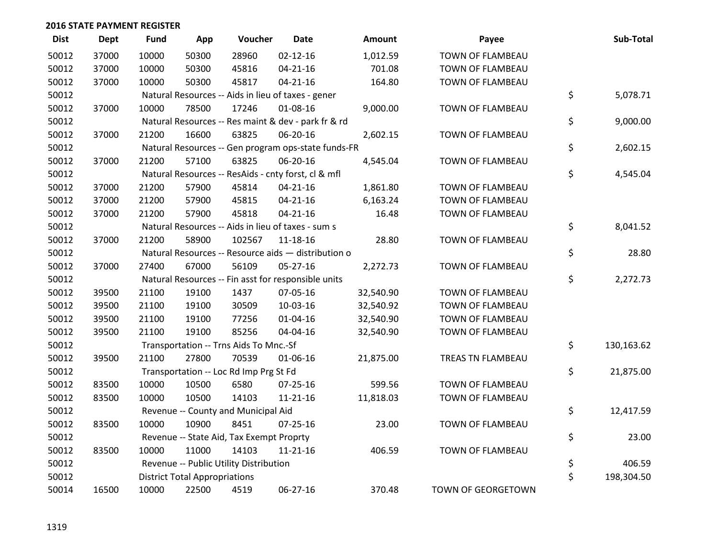| <b>Dist</b> | <b>Dept</b> | <b>Fund</b> | App                                  | Voucher                                  | <b>Date</b>                                         | <b>Amount</b> | Payee              | Sub-Total        |
|-------------|-------------|-------------|--------------------------------------|------------------------------------------|-----------------------------------------------------|---------------|--------------------|------------------|
| 50012       | 37000       | 10000       | 50300                                | 28960                                    | $02 - 12 - 16$                                      | 1,012.59      | TOWN OF FLAMBEAU   |                  |
| 50012       | 37000       | 10000       | 50300                                | 45816                                    | $04 - 21 - 16$                                      | 701.08        | TOWN OF FLAMBEAU   |                  |
| 50012       | 37000       | 10000       | 50300                                | 45817                                    | $04 - 21 - 16$                                      | 164.80        | TOWN OF FLAMBEAU   |                  |
| 50012       |             |             |                                      |                                          | Natural Resources -- Aids in lieu of taxes - gener  |               |                    | \$<br>5,078.71   |
| 50012       | 37000       | 10000       | 78500                                | 17246                                    | 01-08-16                                            | 9,000.00      | TOWN OF FLAMBEAU   |                  |
| 50012       |             |             |                                      |                                          | Natural Resources -- Res maint & dev - park fr & rd |               |                    | \$<br>9,000.00   |
| 50012       | 37000       | 21200       | 16600                                | 63825                                    | 06-20-16                                            | 2,602.15      | TOWN OF FLAMBEAU   |                  |
| 50012       |             |             |                                      |                                          | Natural Resources -- Gen program ops-state funds-FR |               |                    | \$<br>2,602.15   |
| 50012       | 37000       | 21200       | 57100                                | 63825                                    | 06-20-16                                            | 4,545.04      | TOWN OF FLAMBEAU   |                  |
| 50012       |             |             |                                      |                                          | Natural Resources -- ResAids - cnty forst, cl & mfl |               |                    | \$<br>4,545.04   |
| 50012       | 37000       | 21200       | 57900                                | 45814                                    | $04 - 21 - 16$                                      | 1,861.80      | TOWN OF FLAMBEAU   |                  |
| 50012       | 37000       | 21200       | 57900                                | 45815                                    | $04 - 21 - 16$                                      | 6,163.24      | TOWN OF FLAMBEAU   |                  |
| 50012       | 37000       | 21200       | 57900                                | 45818                                    | $04 - 21 - 16$                                      | 16.48         | TOWN OF FLAMBEAU   |                  |
| 50012       |             |             |                                      |                                          | Natural Resources -- Aids in lieu of taxes - sum s  |               |                    | \$<br>8,041.52   |
| 50012       | 37000       | 21200       | 58900                                | 102567                                   | 11-18-16                                            | 28.80         | TOWN OF FLAMBEAU   |                  |
| 50012       |             |             |                                      |                                          | Natural Resources -- Resource aids - distribution o |               |                    | \$<br>28.80      |
| 50012       | 37000       | 27400       | 67000                                | 56109                                    | $05 - 27 - 16$                                      | 2,272.73      | TOWN OF FLAMBEAU   |                  |
| 50012       |             |             |                                      |                                          | Natural Resources -- Fin asst for responsible units |               |                    | \$<br>2,272.73   |
| 50012       | 39500       | 21100       | 19100                                | 1437                                     | 07-05-16                                            | 32,540.90     | TOWN OF FLAMBEAU   |                  |
| 50012       | 39500       | 21100       | 19100                                | 30509                                    | 10-03-16                                            | 32,540.92     | TOWN OF FLAMBEAU   |                  |
| 50012       | 39500       | 21100       | 19100                                | 77256                                    | 01-04-16                                            | 32,540.90     | TOWN OF FLAMBEAU   |                  |
| 50012       | 39500       | 21100       | 19100                                | 85256                                    | 04-04-16                                            | 32,540.90     | TOWN OF FLAMBEAU   |                  |
| 50012       |             |             |                                      | Transportation -- Trns Aids To Mnc.-Sf   |                                                     |               |                    | \$<br>130,163.62 |
| 50012       | 39500       | 21100       | 27800                                | 70539                                    | 01-06-16                                            | 21,875.00     | TREAS TN FLAMBEAU  |                  |
| 50012       |             |             |                                      | Transportation -- Loc Rd Imp Prg St Fd   |                                                     |               |                    | \$<br>21,875.00  |
| 50012       | 83500       | 10000       | 10500                                | 6580                                     | 07-25-16                                            | 599.56        | TOWN OF FLAMBEAU   |                  |
| 50012       | 83500       | 10000       | 10500                                | 14103                                    | 11-21-16                                            | 11,818.03     | TOWN OF FLAMBEAU   |                  |
| 50012       |             |             |                                      | Revenue -- County and Municipal Aid      |                                                     |               |                    | \$<br>12,417.59  |
| 50012       | 83500       | 10000       | 10900                                | 8451                                     | $07 - 25 - 16$                                      | 23.00         | TOWN OF FLAMBEAU   |                  |
| 50012       |             |             |                                      | Revenue -- State Aid, Tax Exempt Proprty |                                                     |               |                    | \$<br>23.00      |
| 50012       | 83500       | 10000       | 11000                                | 14103                                    | $11 - 21 - 16$                                      | 406.59        | TOWN OF FLAMBEAU   |                  |
| 50012       |             |             |                                      | Revenue -- Public Utility Distribution   |                                                     |               |                    | \$<br>406.59     |
| 50012       |             |             | <b>District Total Appropriations</b> |                                          |                                                     |               |                    | \$<br>198,304.50 |
| 50014       | 16500       | 10000       | 22500                                | 4519                                     | 06-27-16                                            | 370.48        | TOWN OF GEORGETOWN |                  |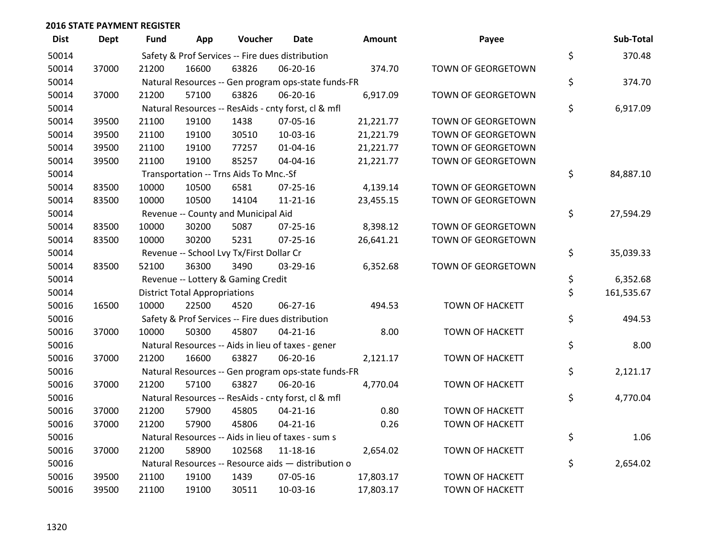| <b>Dist</b> | <b>Dept</b> | <b>Fund</b> | App                                  | Voucher                                          | Date                                                | Amount    | Payee                  | Sub-Total        |
|-------------|-------------|-------------|--------------------------------------|--------------------------------------------------|-----------------------------------------------------|-----------|------------------------|------------------|
| 50014       |             |             |                                      | Safety & Prof Services -- Fire dues distribution |                                                     |           |                        | \$<br>370.48     |
| 50014       | 37000       | 21200       | 16600                                | 63826                                            | 06-20-16                                            | 374.70    | TOWN OF GEORGETOWN     |                  |
| 50014       |             |             |                                      |                                                  | Natural Resources -- Gen program ops-state funds-FR |           |                        | \$<br>374.70     |
| 50014       | 37000       | 21200       | 57100                                | 63826                                            | 06-20-16                                            | 6,917.09  | TOWN OF GEORGETOWN     |                  |
| 50014       |             |             |                                      |                                                  | Natural Resources -- ResAids - cnty forst, cl & mfl |           |                        | \$<br>6,917.09   |
| 50014       | 39500       | 21100       | 19100                                | 1438                                             | 07-05-16                                            | 21,221.77 | TOWN OF GEORGETOWN     |                  |
| 50014       | 39500       | 21100       | 19100                                | 30510                                            | 10-03-16                                            | 21,221.79 | TOWN OF GEORGETOWN     |                  |
| 50014       | 39500       | 21100       | 19100                                | 77257                                            | $01 - 04 - 16$                                      | 21,221.77 | TOWN OF GEORGETOWN     |                  |
| 50014       | 39500       | 21100       | 19100                                | 85257                                            | 04-04-16                                            | 21,221.77 | TOWN OF GEORGETOWN     |                  |
| 50014       |             |             |                                      | Transportation -- Trns Aids To Mnc.-Sf           |                                                     |           |                        | \$<br>84,887.10  |
| 50014       | 83500       | 10000       | 10500                                | 6581                                             | $07 - 25 - 16$                                      | 4,139.14  | TOWN OF GEORGETOWN     |                  |
| 50014       | 83500       | 10000       | 10500                                | 14104                                            | $11 - 21 - 16$                                      | 23,455.15 | TOWN OF GEORGETOWN     |                  |
| 50014       |             |             |                                      | Revenue -- County and Municipal Aid              |                                                     |           |                        | \$<br>27,594.29  |
| 50014       | 83500       | 10000       | 30200                                | 5087                                             | $07 - 25 - 16$                                      | 8,398.12  | TOWN OF GEORGETOWN     |                  |
| 50014       | 83500       | 10000       | 30200                                | 5231                                             | $07 - 25 - 16$                                      | 26,641.21 | TOWN OF GEORGETOWN     |                  |
| 50014       |             |             |                                      | Revenue -- School Lvy Tx/First Dollar Cr         |                                                     |           |                        | \$<br>35,039.33  |
| 50014       | 83500       | 52100       | 36300                                | 3490                                             | 03-29-16                                            | 6,352.68  | TOWN OF GEORGETOWN     |                  |
| 50014       |             |             |                                      | Revenue -- Lottery & Gaming Credit               |                                                     |           |                        | \$<br>6,352.68   |
| 50014       |             |             | <b>District Total Appropriations</b> |                                                  |                                                     |           |                        | \$<br>161,535.67 |
| 50016       | 16500       | 10000       | 22500                                | 4520                                             | 06-27-16                                            | 494.53    | <b>TOWN OF HACKETT</b> |                  |
| 50016       |             |             |                                      | Safety & Prof Services -- Fire dues distribution |                                                     |           |                        | \$<br>494.53     |
| 50016       | 37000       | 10000       | 50300                                | 45807                                            | $04 - 21 - 16$                                      | 8.00      | <b>TOWN OF HACKETT</b> |                  |
| 50016       |             |             |                                      |                                                  | Natural Resources -- Aids in lieu of taxes - gener  |           |                        | \$<br>8.00       |
| 50016       | 37000       | 21200       | 16600                                | 63827                                            | 06-20-16                                            | 2,121.17  | <b>TOWN OF HACKETT</b> |                  |
| 50016       |             |             |                                      |                                                  | Natural Resources -- Gen program ops-state funds-FR |           |                        | \$<br>2,121.17   |
| 50016       | 37000       | 21200       | 57100                                | 63827                                            | 06-20-16                                            | 4,770.04  | <b>TOWN OF HACKETT</b> |                  |
| 50016       |             |             |                                      |                                                  | Natural Resources -- ResAids - cnty forst, cl & mfl |           |                        | \$<br>4,770.04   |
| 50016       | 37000       | 21200       | 57900                                | 45805                                            | $04 - 21 - 16$                                      | 0.80      | <b>TOWN OF HACKETT</b> |                  |
| 50016       | 37000       | 21200       | 57900                                | 45806                                            | $04 - 21 - 16$                                      | 0.26      | <b>TOWN OF HACKETT</b> |                  |
| 50016       |             |             |                                      |                                                  | Natural Resources -- Aids in lieu of taxes - sum s  |           |                        | \$<br>1.06       |
| 50016       | 37000       | 21200       | 58900                                | 102568                                           | $11 - 18 - 16$                                      | 2,654.02  | <b>TOWN OF HACKETT</b> |                  |
| 50016       |             |             |                                      |                                                  | Natural Resources -- Resource aids - distribution o |           |                        | \$<br>2,654.02   |
| 50016       | 39500       | 21100       | 19100                                | 1439                                             | 07-05-16                                            | 17,803.17 | <b>TOWN OF HACKETT</b> |                  |
| 50016       | 39500       | 21100       | 19100                                | 30511                                            | 10-03-16                                            | 17,803.17 | <b>TOWN OF HACKETT</b> |                  |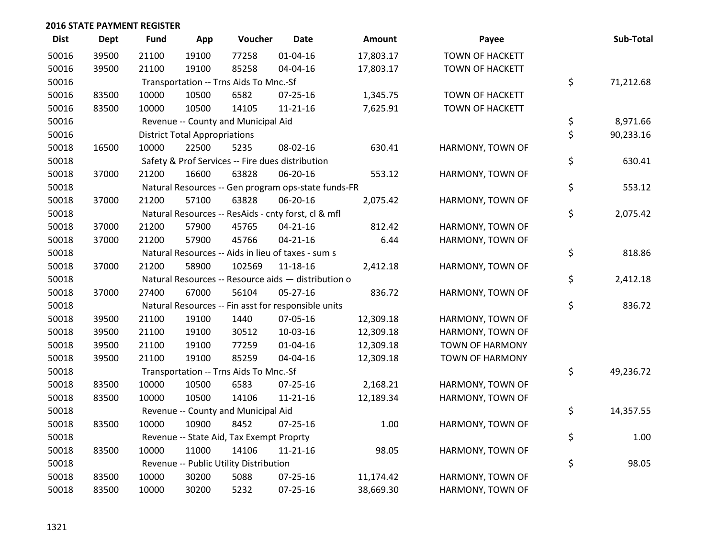| <b>Dist</b> | <b>Dept</b> | Fund  | App                                  | Voucher                                          | <b>Date</b>                                         | <b>Amount</b> | Payee                  | Sub-Total       |
|-------------|-------------|-------|--------------------------------------|--------------------------------------------------|-----------------------------------------------------|---------------|------------------------|-----------------|
| 50016       | 39500       | 21100 | 19100                                | 77258                                            | $01 - 04 - 16$                                      | 17,803.17     | <b>TOWN OF HACKETT</b> |                 |
| 50016       | 39500       | 21100 | 19100                                | 85258                                            | 04-04-16                                            | 17,803.17     | <b>TOWN OF HACKETT</b> |                 |
| 50016       |             |       |                                      | Transportation -- Trns Aids To Mnc.-Sf           |                                                     |               |                        | \$<br>71,212.68 |
| 50016       | 83500       | 10000 | 10500                                | 6582                                             | 07-25-16                                            | 1,345.75      | TOWN OF HACKETT        |                 |
| 50016       | 83500       | 10000 | 10500                                | 14105                                            | $11 - 21 - 16$                                      | 7,625.91      | TOWN OF HACKETT        |                 |
| 50016       |             |       |                                      | Revenue -- County and Municipal Aid              |                                                     |               |                        | \$<br>8,971.66  |
| 50016       |             |       | <b>District Total Appropriations</b> |                                                  |                                                     |               |                        | \$<br>90,233.16 |
| 50018       | 16500       | 10000 | 22500                                | 5235                                             | 08-02-16                                            | 630.41        | HARMONY, TOWN OF       |                 |
| 50018       |             |       |                                      | Safety & Prof Services -- Fire dues distribution |                                                     |               |                        | \$<br>630.41    |
| 50018       | 37000       | 21200 | 16600                                | 63828                                            | 06-20-16                                            | 553.12        | HARMONY, TOWN OF       |                 |
| 50018       |             |       |                                      |                                                  | Natural Resources -- Gen program ops-state funds-FR |               |                        | \$<br>553.12    |
| 50018       | 37000       | 21200 | 57100                                | 63828                                            | 06-20-16                                            | 2,075.42      | HARMONY, TOWN OF       |                 |
| 50018       |             |       |                                      |                                                  | Natural Resources -- ResAids - cnty forst, cl & mfl |               |                        | \$<br>2,075.42  |
| 50018       | 37000       | 21200 | 57900                                | 45765                                            | $04 - 21 - 16$                                      | 812.42        | HARMONY, TOWN OF       |                 |
| 50018       | 37000       | 21200 | 57900                                | 45766                                            | $04 - 21 - 16$                                      | 6.44          | HARMONY, TOWN OF       |                 |
| 50018       |             |       |                                      |                                                  | Natural Resources -- Aids in lieu of taxes - sum s  |               |                        | \$<br>818.86    |
| 50018       | 37000       | 21200 | 58900                                | 102569                                           | $11 - 18 - 16$                                      | 2,412.18      | HARMONY, TOWN OF       |                 |
| 50018       |             |       |                                      |                                                  | Natural Resources -- Resource aids - distribution o |               |                        | \$<br>2,412.18  |
| 50018       | 37000       | 27400 | 67000                                | 56104                                            | $05 - 27 - 16$                                      | 836.72        | HARMONY, TOWN OF       |                 |
| 50018       |             |       |                                      |                                                  | Natural Resources -- Fin asst for responsible units |               |                        | \$<br>836.72    |
| 50018       | 39500       | 21100 | 19100                                | 1440                                             | 07-05-16                                            | 12,309.18     | HARMONY, TOWN OF       |                 |
| 50018       | 39500       | 21100 | 19100                                | 30512                                            | 10-03-16                                            | 12,309.18     | HARMONY, TOWN OF       |                 |
| 50018       | 39500       | 21100 | 19100                                | 77259                                            | $01 - 04 - 16$                                      | 12,309.18     | <b>TOWN OF HARMONY</b> |                 |
| 50018       | 39500       | 21100 | 19100                                | 85259                                            | 04-04-16                                            | 12,309.18     | <b>TOWN OF HARMONY</b> |                 |
| 50018       |             |       |                                      | Transportation -- Trns Aids To Mnc.-Sf           |                                                     |               |                        | \$<br>49,236.72 |
| 50018       | 83500       | 10000 | 10500                                | 6583                                             | 07-25-16                                            | 2,168.21      | HARMONY, TOWN OF       |                 |
| 50018       | 83500       | 10000 | 10500                                | 14106                                            | $11 - 21 - 16$                                      | 12,189.34     | HARMONY, TOWN OF       |                 |
| 50018       |             |       |                                      | Revenue -- County and Municipal Aid              |                                                     |               |                        | \$<br>14,357.55 |
| 50018       | 83500       | 10000 | 10900                                | 8452                                             | 07-25-16                                            | 1.00          | HARMONY, TOWN OF       |                 |
| 50018       |             |       |                                      | Revenue -- State Aid, Tax Exempt Proprty         |                                                     |               |                        | \$<br>1.00      |
| 50018       | 83500       | 10000 | 11000                                | 14106                                            | $11 - 21 - 16$                                      | 98.05         | HARMONY, TOWN OF       |                 |
| 50018       |             |       |                                      | Revenue -- Public Utility Distribution           |                                                     |               |                        | \$<br>98.05     |
| 50018       | 83500       | 10000 | 30200                                | 5088                                             | 07-25-16                                            | 11,174.42     | HARMONY, TOWN OF       |                 |
| 50018       | 83500       | 10000 | 30200                                | 5232                                             | 07-25-16                                            | 38,669.30     | HARMONY, TOWN OF       |                 |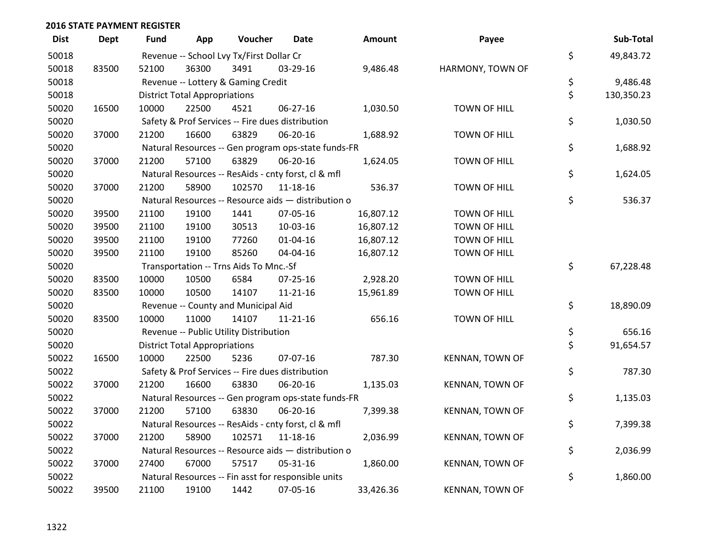| <b>Dist</b> | <b>Dept</b> | <b>Fund</b> | App                                  | Voucher                                  | <b>Date</b>                                         | Amount    | Payee                  | Sub-Total        |
|-------------|-------------|-------------|--------------------------------------|------------------------------------------|-----------------------------------------------------|-----------|------------------------|------------------|
| 50018       |             |             |                                      | Revenue -- School Lvy Tx/First Dollar Cr |                                                     |           |                        | \$<br>49,843.72  |
| 50018       | 83500       | 52100       | 36300                                | 3491                                     | 03-29-16                                            | 9,486.48  | HARMONY, TOWN OF       |                  |
| 50018       |             |             |                                      | Revenue -- Lottery & Gaming Credit       |                                                     |           |                        | \$<br>9,486.48   |
| 50018       |             |             | <b>District Total Appropriations</b> |                                          |                                                     |           |                        | \$<br>130,350.23 |
| 50020       | 16500       | 10000       | 22500                                | 4521                                     | 06-27-16                                            | 1,030.50  | TOWN OF HILL           |                  |
| 50020       |             |             |                                      |                                          | Safety & Prof Services -- Fire dues distribution    |           |                        | \$<br>1,030.50   |
| 50020       | 37000       | 21200       | 16600                                | 63829                                    | 06-20-16                                            | 1,688.92  | TOWN OF HILL           |                  |
| 50020       |             |             |                                      |                                          | Natural Resources -- Gen program ops-state funds-FR |           |                        | \$<br>1,688.92   |
| 50020       | 37000       | 21200       | 57100                                | 63829                                    | 06-20-16                                            | 1,624.05  | <b>TOWN OF HILL</b>    |                  |
| 50020       |             |             |                                      |                                          | Natural Resources -- ResAids - cnty forst, cl & mfl |           |                        | \$<br>1,624.05   |
| 50020       | 37000       | 21200       | 58900                                | 102570                                   | 11-18-16                                            | 536.37    | <b>TOWN OF HILL</b>    |                  |
| 50020       |             |             |                                      |                                          | Natural Resources -- Resource aids - distribution o |           |                        | \$<br>536.37     |
| 50020       | 39500       | 21100       | 19100                                | 1441                                     | 07-05-16                                            | 16,807.12 | <b>TOWN OF HILL</b>    |                  |
| 50020       | 39500       | 21100       | 19100                                | 30513                                    | 10-03-16                                            | 16,807.12 | TOWN OF HILL           |                  |
| 50020       | 39500       | 21100       | 19100                                | 77260                                    | $01 - 04 - 16$                                      | 16,807.12 | TOWN OF HILL           |                  |
| 50020       | 39500       | 21100       | 19100                                | 85260                                    | 04-04-16                                            | 16,807.12 | <b>TOWN OF HILL</b>    |                  |
| 50020       |             |             |                                      | Transportation -- Trns Aids To Mnc.-Sf   |                                                     |           |                        | \$<br>67,228.48  |
| 50020       | 83500       | 10000       | 10500                                | 6584                                     | $07 - 25 - 16$                                      | 2,928.20  | TOWN OF HILL           |                  |
| 50020       | 83500       | 10000       | 10500                                | 14107                                    | $11 - 21 - 16$                                      | 15,961.89 | <b>TOWN OF HILL</b>    |                  |
| 50020       |             |             |                                      | Revenue -- County and Municipal Aid      |                                                     |           |                        | \$<br>18,890.09  |
| 50020       | 83500       | 10000       | 11000                                | 14107                                    | $11 - 21 - 16$                                      | 656.16    | <b>TOWN OF HILL</b>    |                  |
| 50020       |             |             |                                      | Revenue -- Public Utility Distribution   |                                                     |           |                        | \$<br>656.16     |
| 50020       |             |             | <b>District Total Appropriations</b> |                                          |                                                     |           |                        | \$<br>91,654.57  |
| 50022       | 16500       | 10000       | 22500                                | 5236                                     | 07-07-16                                            | 787.30    | KENNAN, TOWN OF        |                  |
| 50022       |             |             |                                      |                                          | Safety & Prof Services -- Fire dues distribution    |           |                        | \$<br>787.30     |
| 50022       | 37000       | 21200       | 16600                                | 63830                                    | 06-20-16                                            | 1,135.03  | KENNAN, TOWN OF        |                  |
| 50022       |             |             |                                      |                                          | Natural Resources -- Gen program ops-state funds-FR |           |                        | \$<br>1,135.03   |
| 50022       | 37000       | 21200       | 57100                                | 63830                                    | 06-20-16                                            | 7,399.38  | KENNAN, TOWN OF        |                  |
| 50022       |             |             |                                      |                                          | Natural Resources -- ResAids - cnty forst, cl & mfl |           |                        | \$<br>7,399.38   |
| 50022       | 37000       | 21200       | 58900                                | 102571                                   | $11 - 18 - 16$                                      | 2,036.99  | <b>KENNAN, TOWN OF</b> |                  |
| 50022       |             |             |                                      |                                          | Natural Resources -- Resource aids - distribution o |           |                        | \$<br>2,036.99   |
| 50022       | 37000       | 27400       | 67000                                | 57517                                    | 05-31-16                                            | 1,860.00  | KENNAN, TOWN OF        |                  |
| 50022       |             |             |                                      |                                          | Natural Resources -- Fin asst for responsible units |           |                        | \$<br>1,860.00   |
| 50022       | 39500       | 21100       | 19100                                | 1442                                     | 07-05-16                                            | 33,426.36 | <b>KENNAN, TOWN OF</b> |                  |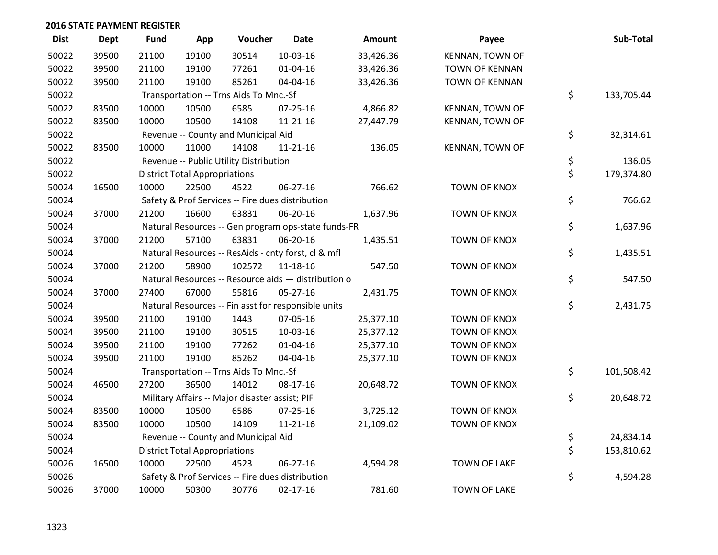| <b>Dist</b> | <b>Dept</b> | <b>Fund</b> | App                                  | Voucher                                        | <b>Date</b>                                         | <b>Amount</b> | Payee                  | Sub-Total        |
|-------------|-------------|-------------|--------------------------------------|------------------------------------------------|-----------------------------------------------------|---------------|------------------------|------------------|
| 50022       | 39500       | 21100       | 19100                                | 30514                                          | 10-03-16                                            | 33,426.36     | <b>KENNAN, TOWN OF</b> |                  |
| 50022       | 39500       | 21100       | 19100                                | 77261                                          | $01 - 04 - 16$                                      | 33,426.36     | <b>TOWN OF KENNAN</b>  |                  |
| 50022       | 39500       | 21100       | 19100                                | 85261                                          | 04-04-16                                            | 33,426.36     | <b>TOWN OF KENNAN</b>  |                  |
| 50022       |             |             |                                      | Transportation -- Trns Aids To Mnc.-Sf         |                                                     |               |                        | \$<br>133,705.44 |
| 50022       | 83500       | 10000       | 10500                                | 6585                                           | 07-25-16                                            | 4,866.82      | KENNAN, TOWN OF        |                  |
| 50022       | 83500       | 10000       | 10500                                | 14108                                          | $11 - 21 - 16$                                      | 27,447.79     | <b>KENNAN, TOWN OF</b> |                  |
| 50022       |             |             |                                      | Revenue -- County and Municipal Aid            |                                                     |               |                        | \$<br>32,314.61  |
| 50022       | 83500       | 10000       | 11000                                | 14108                                          | $11 - 21 - 16$                                      | 136.05        | KENNAN, TOWN OF        |                  |
| 50022       |             |             |                                      | Revenue -- Public Utility Distribution         |                                                     |               |                        | \$<br>136.05     |
| 50022       |             |             | <b>District Total Appropriations</b> |                                                |                                                     |               |                        | \$<br>179,374.80 |
| 50024       | 16500       | 10000       | 22500                                | 4522                                           | 06-27-16                                            | 766.62        | <b>TOWN OF KNOX</b>    |                  |
| 50024       |             |             |                                      |                                                | Safety & Prof Services -- Fire dues distribution    |               |                        | \$<br>766.62     |
| 50024       | 37000       | 21200       | 16600                                | 63831                                          | 06-20-16                                            | 1,637.96      | <b>TOWN OF KNOX</b>    |                  |
| 50024       |             |             |                                      |                                                | Natural Resources -- Gen program ops-state funds-FR |               |                        | \$<br>1,637.96   |
| 50024       | 37000       | 21200       | 57100                                | 63831                                          | 06-20-16                                            | 1,435.51      | <b>TOWN OF KNOX</b>    |                  |
| 50024       |             |             |                                      |                                                | Natural Resources -- ResAids - cnty forst, cl & mfl |               |                        | \$<br>1,435.51   |
| 50024       | 37000       | 21200       | 58900                                | 102572                                         | $11 - 18 - 16$                                      | 547.50        | TOWN OF KNOX           |                  |
| 50024       |             |             |                                      |                                                | Natural Resources -- Resource aids - distribution o |               |                        | \$<br>547.50     |
| 50024       | 37000       | 27400       | 67000                                | 55816                                          | $05 - 27 - 16$                                      | 2,431.75      | <b>TOWN OF KNOX</b>    |                  |
| 50024       |             |             |                                      |                                                | Natural Resources -- Fin asst for responsible units |               |                        | \$<br>2,431.75   |
| 50024       | 39500       | 21100       | 19100                                | 1443                                           | 07-05-16                                            | 25,377.10     | TOWN OF KNOX           |                  |
| 50024       | 39500       | 21100       | 19100                                | 30515                                          | 10-03-16                                            | 25,377.12     | TOWN OF KNOX           |                  |
| 50024       | 39500       | 21100       | 19100                                | 77262                                          | $01 - 04 - 16$                                      | 25,377.10     | <b>TOWN OF KNOX</b>    |                  |
| 50024       | 39500       | 21100       | 19100                                | 85262                                          | 04-04-16                                            | 25,377.10     | <b>TOWN OF KNOX</b>    |                  |
| 50024       |             |             |                                      | Transportation -- Trns Aids To Mnc.-Sf         |                                                     |               |                        | \$<br>101,508.42 |
| 50024       | 46500       | 27200       | 36500                                | 14012                                          | 08-17-16                                            | 20,648.72     | TOWN OF KNOX           |                  |
| 50024       |             |             |                                      | Military Affairs -- Major disaster assist; PIF |                                                     |               |                        | \$<br>20,648.72  |
| 50024       | 83500       | 10000       | 10500                                | 6586                                           | 07-25-16                                            | 3,725.12      | <b>TOWN OF KNOX</b>    |                  |
| 50024       | 83500       | 10000       | 10500                                | 14109                                          | $11 - 21 - 16$                                      | 21,109.02     | <b>TOWN OF KNOX</b>    |                  |
| 50024       |             |             |                                      | Revenue -- County and Municipal Aid            |                                                     |               |                        | \$<br>24,834.14  |
| 50024       |             |             | <b>District Total Appropriations</b> |                                                |                                                     |               |                        | \$<br>153,810.62 |
| 50026       | 16500       | 10000       | 22500                                | 4523                                           | $06 - 27 - 16$                                      | 4,594.28      | <b>TOWN OF LAKE</b>    |                  |
| 50026       |             |             |                                      |                                                | Safety & Prof Services -- Fire dues distribution    |               |                        | \$<br>4,594.28   |
| 50026       | 37000       | 10000       | 50300                                | 30776                                          | $02 - 17 - 16$                                      | 781.60        | <b>TOWN OF LAKE</b>    |                  |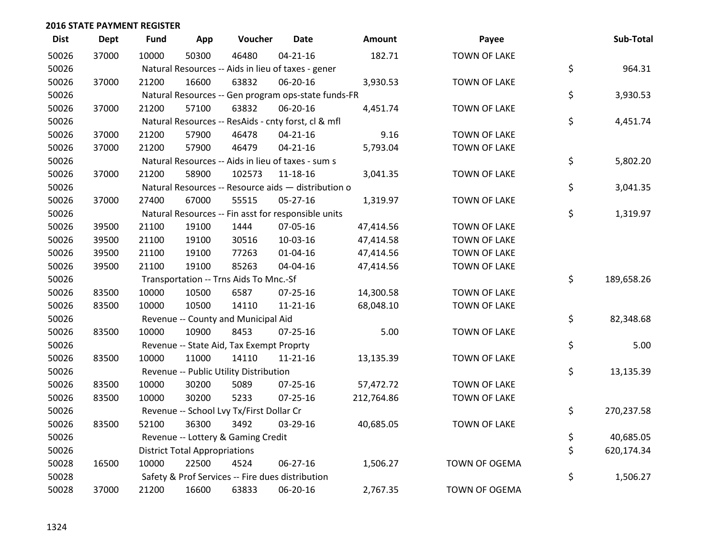| <b>Dist</b> | <b>Dept</b> | <b>Fund</b> | App                                  | Voucher                                             | <b>Date</b>    | Amount     | Payee               | Sub-Total        |
|-------------|-------------|-------------|--------------------------------------|-----------------------------------------------------|----------------|------------|---------------------|------------------|
| 50026       | 37000       | 10000       | 50300                                | 46480                                               | $04 - 21 - 16$ | 182.71     | <b>TOWN OF LAKE</b> |                  |
| 50026       |             |             |                                      | Natural Resources -- Aids in lieu of taxes - gener  |                |            |                     | \$<br>964.31     |
| 50026       | 37000       | 21200       | 16600                                | 63832                                               | 06-20-16       | 3,930.53   | <b>TOWN OF LAKE</b> |                  |
| 50026       |             |             |                                      | Natural Resources -- Gen program ops-state funds-FR |                |            |                     | \$<br>3,930.53   |
| 50026       | 37000       | 21200       | 57100                                | 63832                                               | 06-20-16       | 4,451.74   | <b>TOWN OF LAKE</b> |                  |
| 50026       |             |             |                                      | Natural Resources -- ResAids - cnty forst, cl & mfl |                |            |                     | \$<br>4,451.74   |
| 50026       | 37000       | 21200       | 57900                                | 46478                                               | $04 - 21 - 16$ | 9.16       | <b>TOWN OF LAKE</b> |                  |
| 50026       | 37000       | 21200       | 57900                                | 46479                                               | $04 - 21 - 16$ | 5,793.04   | <b>TOWN OF LAKE</b> |                  |
| 50026       |             |             |                                      | Natural Resources -- Aids in lieu of taxes - sum s  |                |            |                     | \$<br>5,802.20   |
| 50026       | 37000       | 21200       | 58900                                | 102573                                              | $11 - 18 - 16$ | 3,041.35   | <b>TOWN OF LAKE</b> |                  |
| 50026       |             |             |                                      | Natural Resources -- Resource aids - distribution o |                |            |                     | \$<br>3,041.35   |
| 50026       | 37000       | 27400       | 67000                                | 55515                                               | $05 - 27 - 16$ | 1,319.97   | <b>TOWN OF LAKE</b> |                  |
| 50026       |             |             |                                      | Natural Resources -- Fin asst for responsible units |                |            |                     | \$<br>1,319.97   |
| 50026       | 39500       | 21100       | 19100                                | 1444                                                | 07-05-16       | 47,414.56  | <b>TOWN OF LAKE</b> |                  |
| 50026       | 39500       | 21100       | 19100                                | 30516                                               | 10-03-16       | 47,414.58  | <b>TOWN OF LAKE</b> |                  |
| 50026       | 39500       | 21100       | 19100                                | 77263                                               | $01 - 04 - 16$ | 47,414.56  | <b>TOWN OF LAKE</b> |                  |
| 50026       | 39500       | 21100       | 19100                                | 85263                                               | 04-04-16       | 47,414.56  | <b>TOWN OF LAKE</b> |                  |
| 50026       |             |             |                                      | Transportation -- Trns Aids To Mnc.-Sf              |                |            |                     | \$<br>189,658.26 |
| 50026       | 83500       | 10000       | 10500                                | 6587                                                | 07-25-16       | 14,300.58  | <b>TOWN OF LAKE</b> |                  |
| 50026       | 83500       | 10000       | 10500                                | 14110                                               | $11 - 21 - 16$ | 68,048.10  | <b>TOWN OF LAKE</b> |                  |
| 50026       |             |             |                                      | Revenue -- County and Municipal Aid                 |                |            |                     | \$<br>82,348.68  |
| 50026       | 83500       | 10000       | 10900                                | 8453                                                | $07 - 25 - 16$ | 5.00       | <b>TOWN OF LAKE</b> |                  |
| 50026       |             |             |                                      | Revenue -- State Aid, Tax Exempt Proprty            |                |            |                     | \$<br>5.00       |
| 50026       | 83500       | 10000       | 11000                                | 14110                                               | $11 - 21 - 16$ | 13,135.39  | <b>TOWN OF LAKE</b> |                  |
| 50026       |             |             |                                      | Revenue -- Public Utility Distribution              |                |            |                     | \$<br>13,135.39  |
| 50026       | 83500       | 10000       | 30200                                | 5089                                                | $07 - 25 - 16$ | 57,472.72  | <b>TOWN OF LAKE</b> |                  |
| 50026       | 83500       | 10000       | 30200                                | 5233                                                | $07 - 25 - 16$ | 212,764.86 | <b>TOWN OF LAKE</b> |                  |
| 50026       |             |             |                                      | Revenue -- School Lvy Tx/First Dollar Cr            |                |            |                     | \$<br>270,237.58 |
| 50026       | 83500       | 52100       | 36300                                | 3492                                                | 03-29-16       | 40,685.05  | <b>TOWN OF LAKE</b> |                  |
| 50026       |             |             |                                      | Revenue -- Lottery & Gaming Credit                  |                |            |                     | \$<br>40,685.05  |
| 50026       |             |             | <b>District Total Appropriations</b> |                                                     |                |            |                     | \$<br>620,174.34 |
| 50028       | 16500       | 10000       | 22500                                | 4524                                                | 06-27-16       | 1,506.27   | TOWN OF OGEMA       |                  |
| 50028       |             |             |                                      | Safety & Prof Services -- Fire dues distribution    |                |            |                     | \$<br>1,506.27   |
| 50028       | 37000       | 21200       | 16600                                | 63833                                               | 06-20-16       | 2,767.35   | TOWN OF OGEMA       |                  |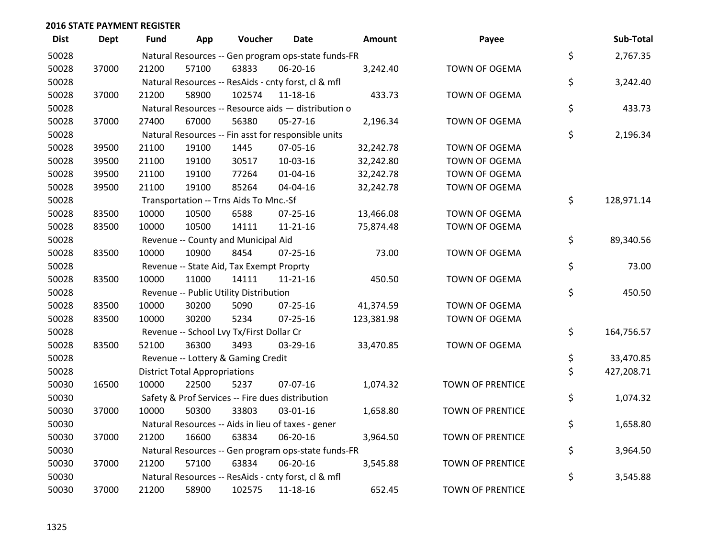| <b>Dist</b> | <b>Dept</b> | <b>Fund</b> | App                                  | Voucher                                             | <b>Date</b>    | Amount     | Payee                   | Sub-Total        |
|-------------|-------------|-------------|--------------------------------------|-----------------------------------------------------|----------------|------------|-------------------------|------------------|
| 50028       |             |             |                                      | Natural Resources -- Gen program ops-state funds-FR |                |            |                         | \$<br>2,767.35   |
| 50028       | 37000       | 21200       | 57100                                | 63833                                               | 06-20-16       | 3,242.40   | <b>TOWN OF OGEMA</b>    |                  |
| 50028       |             |             |                                      | Natural Resources -- ResAids - cnty forst, cl & mfl |                |            |                         | \$<br>3,242.40   |
| 50028       | 37000       | 21200       | 58900                                | 102574                                              | 11-18-16       | 433.73     | TOWN OF OGEMA           |                  |
| 50028       |             |             |                                      | Natural Resources -- Resource aids - distribution o |                |            |                         | \$<br>433.73     |
| 50028       | 37000       | 27400       | 67000                                | 56380                                               | 05-27-16       | 2,196.34   | TOWN OF OGEMA           |                  |
| 50028       |             |             |                                      | Natural Resources -- Fin asst for responsible units |                |            |                         | \$<br>2,196.34   |
| 50028       | 39500       | 21100       | 19100                                | 1445                                                | 07-05-16       | 32,242.78  | TOWN OF OGEMA           |                  |
| 50028       | 39500       | 21100       | 19100                                | 30517                                               | 10-03-16       | 32,242.80  | TOWN OF OGEMA           |                  |
| 50028       | 39500       | 21100       | 19100                                | 77264                                               | 01-04-16       | 32,242.78  | TOWN OF OGEMA           |                  |
| 50028       | 39500       | 21100       | 19100                                | 85264                                               | 04-04-16       | 32,242.78  | TOWN OF OGEMA           |                  |
| 50028       |             |             |                                      | Transportation -- Trns Aids To Mnc.-Sf              |                |            |                         | \$<br>128,971.14 |
| 50028       | 83500       | 10000       | 10500                                | 6588                                                | 07-25-16       | 13,466.08  | <b>TOWN OF OGEMA</b>    |                  |
| 50028       | 83500       | 10000       | 10500                                | 14111                                               | $11 - 21 - 16$ | 75,874.48  | TOWN OF OGEMA           |                  |
| 50028       |             |             |                                      | Revenue -- County and Municipal Aid                 |                |            |                         | \$<br>89,340.56  |
| 50028       | 83500       | 10000       | 10900                                | 8454                                                | $07 - 25 - 16$ | 73.00      | <b>TOWN OF OGEMA</b>    |                  |
| 50028       |             |             |                                      | Revenue -- State Aid, Tax Exempt Proprty            |                |            |                         | \$<br>73.00      |
| 50028       | 83500       | 10000       | 11000                                | 14111                                               | 11-21-16       | 450.50     | TOWN OF OGEMA           |                  |
| 50028       |             |             |                                      | Revenue -- Public Utility Distribution              |                |            |                         | \$<br>450.50     |
| 50028       | 83500       | 10000       | 30200                                | 5090                                                | 07-25-16       | 41,374.59  | TOWN OF OGEMA           |                  |
| 50028       | 83500       | 10000       | 30200                                | 5234                                                | 07-25-16       | 123,381.98 | TOWN OF OGEMA           |                  |
| 50028       |             |             |                                      | Revenue -- School Lvy Tx/First Dollar Cr            |                |            |                         | \$<br>164,756.57 |
| 50028       | 83500       | 52100       | 36300                                | 3493                                                | 03-29-16       | 33,470.85  | TOWN OF OGEMA           |                  |
| 50028       |             |             |                                      | Revenue -- Lottery & Gaming Credit                  |                |            |                         | \$<br>33,470.85  |
| 50028       |             |             | <b>District Total Appropriations</b> |                                                     |                |            |                         | \$<br>427,208.71 |
| 50030       | 16500       | 10000       | 22500                                | 5237                                                | 07-07-16       | 1,074.32   | TOWN OF PRENTICE        |                  |
| 50030       |             |             |                                      | Safety & Prof Services -- Fire dues distribution    |                |            |                         | \$<br>1,074.32   |
| 50030       | 37000       | 10000       | 50300                                | 33803                                               | 03-01-16       | 1,658.80   | <b>TOWN OF PRENTICE</b> |                  |
| 50030       |             |             |                                      | Natural Resources -- Aids in lieu of taxes - gener  |                |            |                         | \$<br>1,658.80   |
| 50030       | 37000       | 21200       | 16600                                | 63834                                               | 06-20-16       | 3,964.50   | <b>TOWN OF PRENTICE</b> |                  |
| 50030       |             |             |                                      | Natural Resources -- Gen program ops-state funds-FR |                |            |                         | \$<br>3,964.50   |
| 50030       | 37000       | 21200       | 57100                                | 63834                                               | 06-20-16       | 3,545.88   | <b>TOWN OF PRENTICE</b> |                  |
| 50030       |             |             |                                      | Natural Resources -- ResAids - cnty forst, cl & mfl |                |            |                         | \$<br>3,545.88   |
| 50030       | 37000       | 21200       | 58900                                | 102575                                              | 11-18-16       | 652.45     | <b>TOWN OF PRENTICE</b> |                  |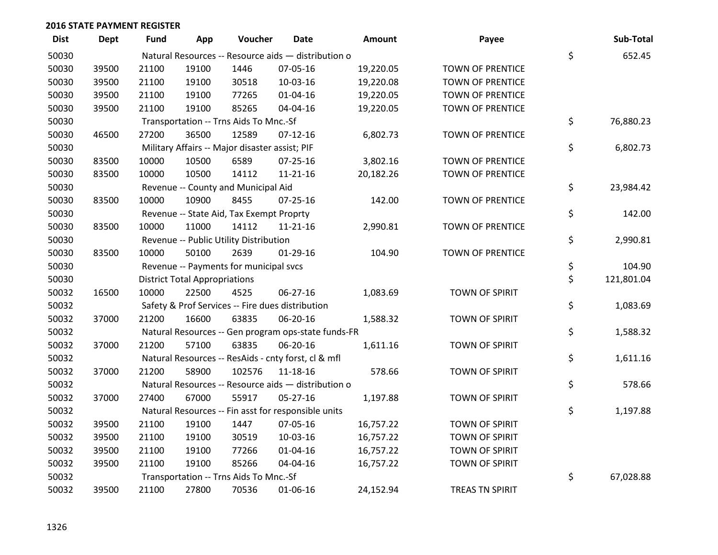| <b>Dist</b> | Dept  | <b>Fund</b> | App                                  | Voucher                                        | Date                                                | <b>Amount</b> | Payee                   | Sub-Total        |
|-------------|-------|-------------|--------------------------------------|------------------------------------------------|-----------------------------------------------------|---------------|-------------------------|------------------|
| 50030       |       |             |                                      |                                                | Natural Resources -- Resource aids - distribution o |               |                         | \$<br>652.45     |
| 50030       | 39500 | 21100       | 19100                                | 1446                                           | 07-05-16                                            | 19,220.05     | <b>TOWN OF PRENTICE</b> |                  |
| 50030       | 39500 | 21100       | 19100                                | 30518                                          | 10-03-16                                            | 19,220.08     | <b>TOWN OF PRENTICE</b> |                  |
| 50030       | 39500 | 21100       | 19100                                | 77265                                          | $01 - 04 - 16$                                      | 19,220.05     | <b>TOWN OF PRENTICE</b> |                  |
| 50030       | 39500 | 21100       | 19100                                | 85265                                          | 04-04-16                                            | 19,220.05     | <b>TOWN OF PRENTICE</b> |                  |
| 50030       |       |             |                                      | Transportation -- Trns Aids To Mnc.-Sf         |                                                     |               |                         | \$<br>76,880.23  |
| 50030       | 46500 | 27200       | 36500                                | 12589                                          | $07-12-16$                                          | 6,802.73      | TOWN OF PRENTICE        |                  |
| 50030       |       |             |                                      | Military Affairs -- Major disaster assist; PIF |                                                     |               |                         | \$<br>6,802.73   |
| 50030       | 83500 | 10000       | 10500                                | 6589                                           | $07 - 25 - 16$                                      | 3,802.16      | <b>TOWN OF PRENTICE</b> |                  |
| 50030       | 83500 | 10000       | 10500                                | 14112                                          | $11 - 21 - 16$                                      | 20,182.26     | <b>TOWN OF PRENTICE</b> |                  |
| 50030       |       |             |                                      | Revenue -- County and Municipal Aid            |                                                     |               |                         | \$<br>23,984.42  |
| 50030       | 83500 | 10000       | 10900                                | 8455                                           | $07 - 25 - 16$                                      | 142.00        | <b>TOWN OF PRENTICE</b> |                  |
| 50030       |       |             |                                      | Revenue -- State Aid, Tax Exempt Proprty       |                                                     |               |                         | \$<br>142.00     |
| 50030       | 83500 | 10000       | 11000                                | 14112                                          | $11 - 21 - 16$                                      | 2,990.81      | <b>TOWN OF PRENTICE</b> |                  |
| 50030       |       |             |                                      | Revenue -- Public Utility Distribution         |                                                     |               |                         | \$<br>2,990.81   |
| 50030       | 83500 | 10000       | 50100                                | 2639                                           | 01-29-16                                            | 104.90        | <b>TOWN OF PRENTICE</b> |                  |
| 50030       |       |             |                                      | Revenue -- Payments for municipal svcs         |                                                     |               |                         | \$<br>104.90     |
| 50030       |       |             | <b>District Total Appropriations</b> |                                                |                                                     |               |                         | \$<br>121,801.04 |
| 50032       | 16500 | 10000       | 22500                                | 4525                                           | 06-27-16                                            | 1,083.69      | <b>TOWN OF SPIRIT</b>   |                  |
| 50032       |       |             |                                      |                                                | Safety & Prof Services -- Fire dues distribution    |               |                         | \$<br>1,083.69   |
| 50032       | 37000 | 21200       | 16600                                | 63835                                          | 06-20-16                                            | 1,588.32      | TOWN OF SPIRIT          |                  |
| 50032       |       |             |                                      |                                                | Natural Resources -- Gen program ops-state funds-FR |               |                         | \$<br>1,588.32   |
| 50032       | 37000 | 21200       | 57100                                | 63835                                          | 06-20-16                                            | 1,611.16      | <b>TOWN OF SPIRIT</b>   |                  |
| 50032       |       |             |                                      |                                                | Natural Resources -- ResAids - cnty forst, cl & mfl |               |                         | \$<br>1,611.16   |
| 50032       | 37000 | 21200       | 58900                                | 102576                                         | $11 - 18 - 16$                                      | 578.66        | TOWN OF SPIRIT          |                  |
| 50032       |       |             |                                      |                                                | Natural Resources -- Resource aids - distribution o |               |                         | \$<br>578.66     |
| 50032       | 37000 | 27400       | 67000                                | 55917                                          | 05-27-16                                            | 1,197.88      | <b>TOWN OF SPIRIT</b>   |                  |
| 50032       |       |             |                                      |                                                | Natural Resources -- Fin asst for responsible units |               |                         | \$<br>1,197.88   |
| 50032       | 39500 | 21100       | 19100                                | 1447                                           | 07-05-16                                            | 16,757.22     | <b>TOWN OF SPIRIT</b>   |                  |
| 50032       | 39500 | 21100       | 19100                                | 30519                                          | 10-03-16                                            | 16,757.22     | TOWN OF SPIRIT          |                  |
| 50032       | 39500 | 21100       | 19100                                | 77266                                          | 01-04-16                                            | 16,757.22     | TOWN OF SPIRIT          |                  |
| 50032       | 39500 | 21100       | 19100                                | 85266                                          | 04-04-16                                            | 16,757.22     | <b>TOWN OF SPIRIT</b>   |                  |
| 50032       |       |             |                                      | Transportation -- Trns Aids To Mnc.-Sf         |                                                     |               |                         | \$<br>67,028.88  |
| 50032       | 39500 | 21100       | 27800                                | 70536                                          | 01-06-16                                            | 24,152.94     | <b>TREAS TN SPIRIT</b>  |                  |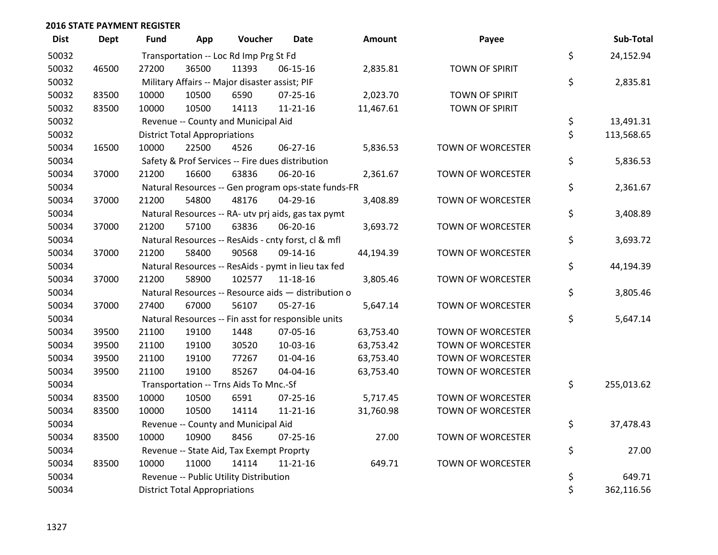| <b>Dist</b> | <b>Dept</b> | <b>Fund</b> | App                                  | Voucher                                             | Date           | <b>Amount</b> | Payee                    | Sub-Total        |
|-------------|-------------|-------------|--------------------------------------|-----------------------------------------------------|----------------|---------------|--------------------------|------------------|
| 50032       |             |             |                                      | Transportation -- Loc Rd Imp Prg St Fd              |                |               |                          | \$<br>24,152.94  |
| 50032       | 46500       | 27200       | 36500                                | 11393                                               | $06 - 15 - 16$ | 2,835.81      | <b>TOWN OF SPIRIT</b>    |                  |
| 50032       |             |             |                                      | Military Affairs -- Major disaster assist; PIF      |                |               |                          | \$<br>2,835.81   |
| 50032       | 83500       | 10000       | 10500                                | 6590                                                | $07 - 25 - 16$ | 2,023.70      | <b>TOWN OF SPIRIT</b>    |                  |
| 50032       | 83500       | 10000       | 10500                                | 14113                                               | $11 - 21 - 16$ | 11,467.61     | <b>TOWN OF SPIRIT</b>    |                  |
| 50032       |             |             |                                      | Revenue -- County and Municipal Aid                 |                |               |                          | \$<br>13,491.31  |
| 50032       |             |             | <b>District Total Appropriations</b> |                                                     |                |               |                          | \$<br>113,568.65 |
| 50034       | 16500       | 10000       | 22500                                | 4526                                                | 06-27-16       | 5,836.53      | <b>TOWN OF WORCESTER</b> |                  |
| 50034       |             |             |                                      | Safety & Prof Services -- Fire dues distribution    |                |               |                          | \$<br>5,836.53   |
| 50034       | 37000       | 21200       | 16600                                | 63836                                               | 06-20-16       | 2,361.67      | TOWN OF WORCESTER        |                  |
| 50034       |             |             |                                      | Natural Resources -- Gen program ops-state funds-FR |                |               |                          | \$<br>2,361.67   |
| 50034       | 37000       | 21200       | 54800                                | 48176                                               | 04-29-16       | 3,408.89      | TOWN OF WORCESTER        |                  |
| 50034       |             |             |                                      | Natural Resources -- RA- utv prj aids, gas tax pymt |                |               |                          | \$<br>3,408.89   |
| 50034       | 37000       | 21200       | 57100                                | 63836                                               | 06-20-16       | 3,693.72      | TOWN OF WORCESTER        |                  |
| 50034       |             |             |                                      | Natural Resources -- ResAids - cnty forst, cl & mfl |                |               |                          | \$<br>3,693.72   |
| 50034       | 37000       | 21200       | 58400                                | 90568                                               | 09-14-16       | 44,194.39     | TOWN OF WORCESTER        |                  |
| 50034       |             |             |                                      | Natural Resources -- ResAids - pymt in lieu tax fed |                |               |                          | \$<br>44,194.39  |
| 50034       | 37000       | 21200       | 58900                                | 102577                                              | $11 - 18 - 16$ | 3,805.46      | TOWN OF WORCESTER        |                  |
| 50034       |             |             |                                      | Natural Resources -- Resource aids - distribution o |                |               |                          | \$<br>3,805.46   |
| 50034       | 37000       | 27400       | 67000                                | 56107                                               | 05-27-16       | 5,647.14      | TOWN OF WORCESTER        |                  |
| 50034       |             |             |                                      | Natural Resources -- Fin asst for responsible units |                |               |                          | \$<br>5,647.14   |
| 50034       | 39500       | 21100       | 19100                                | 1448                                                | 07-05-16       | 63,753.40     | TOWN OF WORCESTER        |                  |
| 50034       | 39500       | 21100       | 19100                                | 30520                                               | 10-03-16       | 63,753.42     | <b>TOWN OF WORCESTER</b> |                  |
| 50034       | 39500       | 21100       | 19100                                | 77267                                               | $01 - 04 - 16$ | 63,753.40     | <b>TOWN OF WORCESTER</b> |                  |
| 50034       | 39500       | 21100       | 19100                                | 85267                                               | 04-04-16       | 63,753.40     | TOWN OF WORCESTER        |                  |
| 50034       |             |             |                                      | Transportation -- Trns Aids To Mnc.-Sf              |                |               |                          | \$<br>255,013.62 |
| 50034       | 83500       | 10000       | 10500                                | 6591                                                | $07 - 25 - 16$ | 5,717.45      | TOWN OF WORCESTER        |                  |
| 50034       | 83500       | 10000       | 10500                                | 14114                                               | $11 - 21 - 16$ | 31,760.98     | TOWN OF WORCESTER        |                  |
| 50034       |             |             |                                      | Revenue -- County and Municipal Aid                 |                |               |                          | \$<br>37,478.43  |
| 50034       | 83500       | 10000       | 10900                                | 8456                                                | $07 - 25 - 16$ | 27.00         | TOWN OF WORCESTER        |                  |
| 50034       |             |             |                                      | Revenue -- State Aid, Tax Exempt Proprty            |                |               |                          | \$<br>27.00      |
| 50034       | 83500       | 10000       | 11000                                | 14114                                               | $11 - 21 - 16$ | 649.71        | <b>TOWN OF WORCESTER</b> |                  |
| 50034       |             |             |                                      | Revenue -- Public Utility Distribution              |                |               |                          | \$<br>649.71     |
| 50034       |             |             | <b>District Total Appropriations</b> |                                                     |                |               |                          | \$<br>362,116.56 |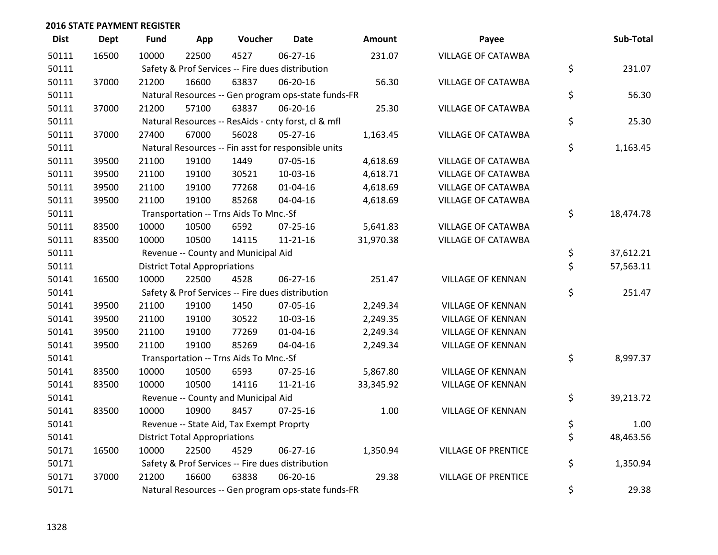| <b>Dist</b> | <b>Dept</b> | <b>Fund</b> | App                                  | Voucher                                          | <b>Date</b>                                         | Amount    | Payee                      | Sub-Total       |
|-------------|-------------|-------------|--------------------------------------|--------------------------------------------------|-----------------------------------------------------|-----------|----------------------------|-----------------|
| 50111       | 16500       | 10000       | 22500                                | 4527                                             | 06-27-16                                            | 231.07    | VILLAGE OF CATAWBA         |                 |
| 50111       |             |             |                                      | Safety & Prof Services -- Fire dues distribution |                                                     |           |                            | \$<br>231.07    |
| 50111       | 37000       | 21200       | 16600                                | 63837                                            | 06-20-16                                            | 56.30     | <b>VILLAGE OF CATAWBA</b>  |                 |
| 50111       |             |             |                                      |                                                  | Natural Resources -- Gen program ops-state funds-FR |           |                            | \$<br>56.30     |
| 50111       | 37000       | 21200       | 57100                                | 63837                                            | 06-20-16                                            | 25.30     | <b>VILLAGE OF CATAWBA</b>  |                 |
| 50111       |             |             |                                      |                                                  | Natural Resources -- ResAids - cnty forst, cl & mfl |           |                            | \$<br>25.30     |
| 50111       | 37000       | 27400       | 67000                                | 56028                                            | $05 - 27 - 16$                                      | 1,163.45  | <b>VILLAGE OF CATAWBA</b>  |                 |
| 50111       |             |             |                                      |                                                  | Natural Resources -- Fin asst for responsible units |           |                            | \$<br>1,163.45  |
| 50111       | 39500       | 21100       | 19100                                | 1449                                             | 07-05-16                                            | 4,618.69  | <b>VILLAGE OF CATAWBA</b>  |                 |
| 50111       | 39500       | 21100       | 19100                                | 30521                                            | 10-03-16                                            | 4,618.71  | <b>VILLAGE OF CATAWBA</b>  |                 |
| 50111       | 39500       | 21100       | 19100                                | 77268                                            | $01 - 04 - 16$                                      | 4,618.69  | VILLAGE OF CATAWBA         |                 |
| 50111       | 39500       | 21100       | 19100                                | 85268                                            | 04-04-16                                            | 4,618.69  | <b>VILLAGE OF CATAWBA</b>  |                 |
| 50111       |             |             |                                      | Transportation -- Trns Aids To Mnc.-Sf           |                                                     |           |                            | \$<br>18,474.78 |
| 50111       | 83500       | 10000       | 10500                                | 6592                                             | 07-25-16                                            | 5,641.83  | <b>VILLAGE OF CATAWBA</b>  |                 |
| 50111       | 83500       | 10000       | 10500                                | 14115                                            | $11 - 21 - 16$                                      | 31,970.38 | <b>VILLAGE OF CATAWBA</b>  |                 |
| 50111       |             |             |                                      | Revenue -- County and Municipal Aid              |                                                     |           |                            | \$<br>37,612.21 |
| 50111       |             |             | <b>District Total Appropriations</b> |                                                  |                                                     |           |                            | \$<br>57,563.11 |
| 50141       | 16500       | 10000       | 22500                                | 4528                                             | 06-27-16                                            | 251.47    | <b>VILLAGE OF KENNAN</b>   |                 |
| 50141       |             |             |                                      | Safety & Prof Services -- Fire dues distribution |                                                     |           |                            | \$<br>251.47    |
| 50141       | 39500       | 21100       | 19100                                | 1450                                             | 07-05-16                                            | 2,249.34  | <b>VILLAGE OF KENNAN</b>   |                 |
| 50141       | 39500       | 21100       | 19100                                | 30522                                            | 10-03-16                                            | 2,249.35  | <b>VILLAGE OF KENNAN</b>   |                 |
| 50141       | 39500       | 21100       | 19100                                | 77269                                            | $01 - 04 - 16$                                      | 2,249.34  | <b>VILLAGE OF KENNAN</b>   |                 |
| 50141       | 39500       | 21100       | 19100                                | 85269                                            | 04-04-16                                            | 2,249.34  | <b>VILLAGE OF KENNAN</b>   |                 |
| 50141       |             |             |                                      | Transportation -- Trns Aids To Mnc.-Sf           |                                                     |           |                            | \$<br>8,997.37  |
| 50141       | 83500       | 10000       | 10500                                | 6593                                             | $07 - 25 - 16$                                      | 5,867.80  | <b>VILLAGE OF KENNAN</b>   |                 |
| 50141       | 83500       | 10000       | 10500                                | 14116                                            | $11 - 21 - 16$                                      | 33,345.92 | <b>VILLAGE OF KENNAN</b>   |                 |
| 50141       |             |             |                                      | Revenue -- County and Municipal Aid              |                                                     |           |                            | \$<br>39,213.72 |
| 50141       | 83500       | 10000       | 10900                                | 8457                                             | $07 - 25 - 16$                                      | 1.00      | <b>VILLAGE OF KENNAN</b>   |                 |
| 50141       |             |             |                                      | Revenue -- State Aid, Tax Exempt Proprty         |                                                     |           |                            | \$<br>1.00      |
| 50141       |             |             | <b>District Total Appropriations</b> |                                                  |                                                     |           |                            | \$<br>48,463.56 |
| 50171       | 16500       | 10000       | 22500                                | 4529                                             | 06-27-16                                            | 1,350.94  | <b>VILLAGE OF PRENTICE</b> |                 |
| 50171       |             |             |                                      | Safety & Prof Services -- Fire dues distribution |                                                     |           |                            | \$<br>1,350.94  |
| 50171       | 37000       | 21200       | 16600                                | 63838                                            | 06-20-16                                            | 29.38     | <b>VILLAGE OF PRENTICE</b> |                 |
| 50171       |             |             |                                      |                                                  | Natural Resources -- Gen program ops-state funds-FR |           |                            | \$<br>29.38     |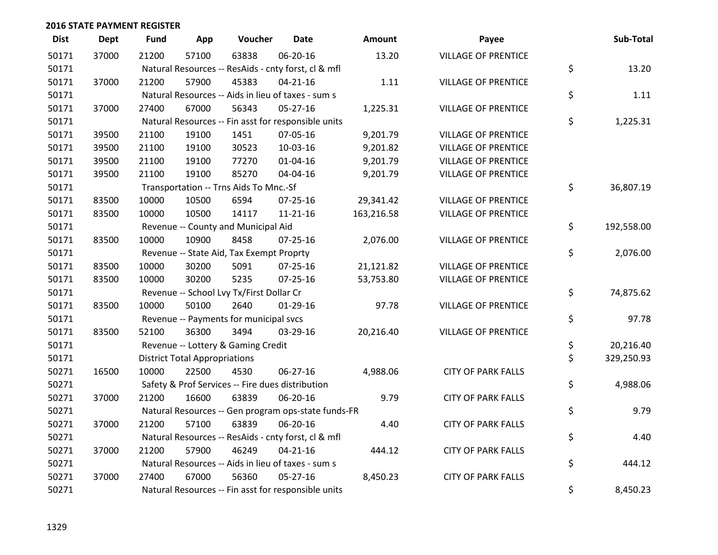| <b>Dist</b> | Dept  | <b>Fund</b> | App                                  | Voucher                                  | <b>Date</b>                                         | Amount     | Payee                      | Sub-Total        |
|-------------|-------|-------------|--------------------------------------|------------------------------------------|-----------------------------------------------------|------------|----------------------------|------------------|
| 50171       | 37000 | 21200       | 57100                                | 63838                                    | 06-20-16                                            | 13.20      | <b>VILLAGE OF PRENTICE</b> |                  |
| 50171       |       |             |                                      |                                          | Natural Resources -- ResAids - cnty forst, cl & mfl |            |                            | \$<br>13.20      |
| 50171       | 37000 | 21200       | 57900                                | 45383                                    | $04 - 21 - 16$                                      | 1.11       | <b>VILLAGE OF PRENTICE</b> |                  |
| 50171       |       |             |                                      |                                          | Natural Resources -- Aids in lieu of taxes - sum s  |            |                            | \$<br>1.11       |
| 50171       | 37000 | 27400       | 67000                                | 56343                                    | $05 - 27 - 16$                                      | 1,225.31   | <b>VILLAGE OF PRENTICE</b> |                  |
| 50171       |       |             |                                      |                                          | Natural Resources -- Fin asst for responsible units |            |                            | \$<br>1,225.31   |
| 50171       | 39500 | 21100       | 19100                                | 1451                                     | 07-05-16                                            | 9,201.79   | <b>VILLAGE OF PRENTICE</b> |                  |
| 50171       | 39500 | 21100       | 19100                                | 30523                                    | 10-03-16                                            | 9,201.82   | <b>VILLAGE OF PRENTICE</b> |                  |
| 50171       | 39500 | 21100       | 19100                                | 77270                                    | $01 - 04 - 16$                                      | 9,201.79   | <b>VILLAGE OF PRENTICE</b> |                  |
| 50171       | 39500 | 21100       | 19100                                | 85270                                    | 04-04-16                                            | 9,201.79   | <b>VILLAGE OF PRENTICE</b> |                  |
| 50171       |       |             |                                      | Transportation -- Trns Aids To Mnc.-Sf   |                                                     |            |                            | \$<br>36,807.19  |
| 50171       | 83500 | 10000       | 10500                                | 6594                                     | $07 - 25 - 16$                                      | 29,341.42  | <b>VILLAGE OF PRENTICE</b> |                  |
| 50171       | 83500 | 10000       | 10500                                | 14117                                    | $11 - 21 - 16$                                      | 163,216.58 | <b>VILLAGE OF PRENTICE</b> |                  |
| 50171       |       |             |                                      | Revenue -- County and Municipal Aid      |                                                     |            |                            | \$<br>192,558.00 |
| 50171       | 83500 | 10000       | 10900                                | 8458                                     | $07 - 25 - 16$                                      | 2,076.00   | <b>VILLAGE OF PRENTICE</b> |                  |
| 50171       |       |             |                                      | Revenue -- State Aid, Tax Exempt Proprty |                                                     |            |                            | \$<br>2,076.00   |
| 50171       | 83500 | 10000       | 30200                                | 5091                                     | 07-25-16                                            | 21,121.82  | <b>VILLAGE OF PRENTICE</b> |                  |
| 50171       | 83500 | 10000       | 30200                                | 5235                                     | 07-25-16                                            | 53,753.80  | <b>VILLAGE OF PRENTICE</b> |                  |
| 50171       |       |             |                                      | Revenue -- School Lvy Tx/First Dollar Cr |                                                     |            |                            | \$<br>74,875.62  |
| 50171       | 83500 | 10000       | 50100                                | 2640                                     | $01-29-16$                                          | 97.78      | <b>VILLAGE OF PRENTICE</b> |                  |
| 50171       |       |             |                                      | Revenue -- Payments for municipal svcs   |                                                     |            |                            | \$<br>97.78      |
| 50171       | 83500 | 52100       | 36300                                | 3494                                     | 03-29-16                                            | 20,216.40  | <b>VILLAGE OF PRENTICE</b> |                  |
| 50171       |       |             |                                      | Revenue -- Lottery & Gaming Credit       |                                                     |            |                            | \$<br>20,216.40  |
| 50171       |       |             | <b>District Total Appropriations</b> |                                          |                                                     |            |                            | \$<br>329,250.93 |
| 50271       | 16500 | 10000       | 22500                                | 4530                                     | 06-27-16                                            | 4,988.06   | <b>CITY OF PARK FALLS</b>  |                  |
| 50271       |       |             |                                      |                                          | Safety & Prof Services -- Fire dues distribution    |            |                            | \$<br>4,988.06   |
| 50271       | 37000 | 21200       | 16600                                | 63839                                    | 06-20-16                                            | 9.79       | <b>CITY OF PARK FALLS</b>  |                  |
| 50271       |       |             |                                      |                                          | Natural Resources -- Gen program ops-state funds-FR |            |                            | \$<br>9.79       |
| 50271       | 37000 | 21200       | 57100                                | 63839                                    | 06-20-16                                            | 4.40       | <b>CITY OF PARK FALLS</b>  |                  |
| 50271       |       |             |                                      |                                          | Natural Resources -- ResAids - cnty forst, cl & mfl |            |                            | \$<br>4.40       |
| 50271       | 37000 | 21200       | 57900                                | 46249                                    | $04 - 21 - 16$                                      | 444.12     | <b>CITY OF PARK FALLS</b>  |                  |
| 50271       |       |             |                                      |                                          | Natural Resources -- Aids in lieu of taxes - sum s  |            |                            | \$<br>444.12     |
| 50271       | 37000 | 27400       | 67000                                | 56360                                    | $05 - 27 - 16$                                      | 8,450.23   | <b>CITY OF PARK FALLS</b>  |                  |
| 50271       |       |             |                                      |                                          | Natural Resources -- Fin asst for responsible units |            |                            | \$<br>8,450.23   |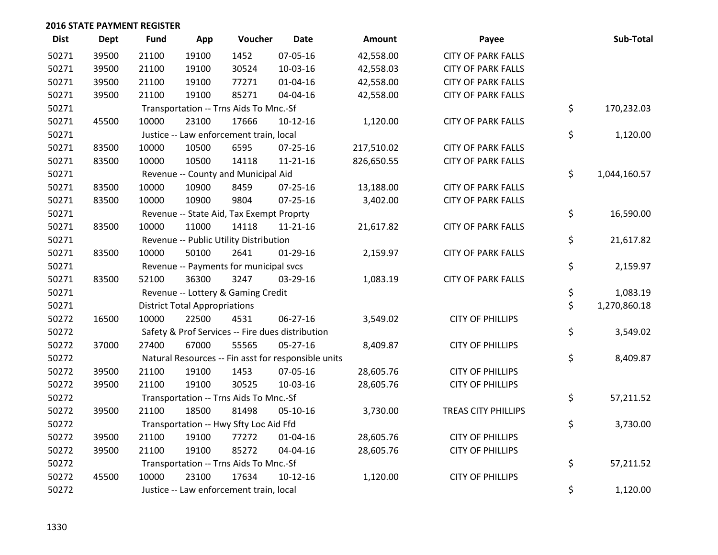| <b>Dist</b> | <b>Dept</b> | <b>Fund</b> | App                                  | Voucher                                  | <b>Date</b>                                         | <b>Amount</b> | Payee                     | Sub-Total          |
|-------------|-------------|-------------|--------------------------------------|------------------------------------------|-----------------------------------------------------|---------------|---------------------------|--------------------|
| 50271       | 39500       | 21100       | 19100                                | 1452                                     | 07-05-16                                            | 42,558.00     | <b>CITY OF PARK FALLS</b> |                    |
| 50271       | 39500       | 21100       | 19100                                | 30524                                    | 10-03-16                                            | 42,558.03     | <b>CITY OF PARK FALLS</b> |                    |
| 50271       | 39500       | 21100       | 19100                                | 77271                                    | $01 - 04 - 16$                                      | 42,558.00     | <b>CITY OF PARK FALLS</b> |                    |
| 50271       | 39500       | 21100       | 19100                                | 85271                                    | 04-04-16                                            | 42,558.00     | <b>CITY OF PARK FALLS</b> |                    |
| 50271       |             |             |                                      | Transportation -- Trns Aids To Mnc.-Sf   |                                                     |               |                           | \$<br>170,232.03   |
| 50271       | 45500       | 10000       | 23100                                | 17666                                    | $10-12-16$                                          | 1,120.00      | <b>CITY OF PARK FALLS</b> |                    |
| 50271       |             |             |                                      | Justice -- Law enforcement train, local  |                                                     |               |                           | \$<br>1,120.00     |
| 50271       | 83500       | 10000       | 10500                                | 6595                                     | $07 - 25 - 16$                                      | 217,510.02    | <b>CITY OF PARK FALLS</b> |                    |
| 50271       | 83500       | 10000       | 10500                                | 14118                                    | $11 - 21 - 16$                                      | 826,650.55    | <b>CITY OF PARK FALLS</b> |                    |
| 50271       |             |             |                                      | Revenue -- County and Municipal Aid      |                                                     |               |                           | \$<br>1,044,160.57 |
| 50271       | 83500       | 10000       | 10900                                | 8459                                     | $07 - 25 - 16$                                      | 13,188.00     | <b>CITY OF PARK FALLS</b> |                    |
| 50271       | 83500       | 10000       | 10900                                | 9804                                     | 07-25-16                                            | 3,402.00      | <b>CITY OF PARK FALLS</b> |                    |
| 50271       |             |             |                                      | Revenue -- State Aid, Tax Exempt Proprty |                                                     |               |                           | \$<br>16,590.00    |
| 50271       | 83500       | 10000       | 11000                                | 14118                                    | $11 - 21 - 16$                                      | 21,617.82     | <b>CITY OF PARK FALLS</b> |                    |
| 50271       |             |             |                                      | Revenue -- Public Utility Distribution   |                                                     |               |                           | \$<br>21,617.82    |
| 50271       | 83500       | 10000       | 50100                                | 2641                                     | $01-29-16$                                          | 2,159.97      | <b>CITY OF PARK FALLS</b> |                    |
| 50271       |             |             |                                      | Revenue -- Payments for municipal svcs   |                                                     |               |                           | \$<br>2,159.97     |
| 50271       | 83500       | 52100       | 36300                                | 3247                                     | 03-29-16                                            | 1,083.19      | <b>CITY OF PARK FALLS</b> |                    |
| 50271       |             |             |                                      | Revenue -- Lottery & Gaming Credit       |                                                     |               |                           | \$<br>1,083.19     |
| 50271       |             |             | <b>District Total Appropriations</b> |                                          |                                                     |               |                           | \$<br>1,270,860.18 |
| 50272       | 16500       | 10000       | 22500                                | 4531                                     | 06-27-16                                            | 3,549.02      | <b>CITY OF PHILLIPS</b>   |                    |
| 50272       |             |             |                                      |                                          | Safety & Prof Services -- Fire dues distribution    |               |                           | \$<br>3,549.02     |
| 50272       | 37000       | 27400       | 67000                                | 55565                                    | $05-27-16$                                          | 8,409.87      | <b>CITY OF PHILLIPS</b>   |                    |
| 50272       |             |             |                                      |                                          | Natural Resources -- Fin asst for responsible units |               |                           | \$<br>8,409.87     |
| 50272       | 39500       | 21100       | 19100                                | 1453                                     | 07-05-16                                            | 28,605.76     | <b>CITY OF PHILLIPS</b>   |                    |
| 50272       | 39500       | 21100       | 19100                                | 30525                                    | 10-03-16                                            | 28,605.76     | <b>CITY OF PHILLIPS</b>   |                    |
| 50272       |             |             |                                      | Transportation -- Trns Aids To Mnc.-Sf   |                                                     |               |                           | \$<br>57,211.52    |
| 50272       | 39500       | 21100       | 18500                                | 81498                                    | 05-10-16                                            | 3,730.00      | TREAS CITY PHILLIPS       |                    |
| 50272       |             |             |                                      | Transportation -- Hwy Sfty Loc Aid Ffd   |                                                     |               |                           | \$<br>3,730.00     |
| 50272       | 39500       | 21100       | 19100                                | 77272                                    | $01 - 04 - 16$                                      | 28,605.76     | <b>CITY OF PHILLIPS</b>   |                    |
| 50272       | 39500       | 21100       | 19100                                | 85272                                    | 04-04-16                                            | 28,605.76     | <b>CITY OF PHILLIPS</b>   |                    |
| 50272       |             |             |                                      | Transportation -- Trns Aids To Mnc.-Sf   |                                                     |               |                           | \$<br>57,211.52    |
| 50272       | 45500       | 10000       | 23100                                | 17634                                    | $10-12-16$                                          | 1,120.00      | <b>CITY OF PHILLIPS</b>   |                    |
| 50272       |             |             |                                      | Justice -- Law enforcement train, local  |                                                     |               |                           | \$<br>1,120.00     |